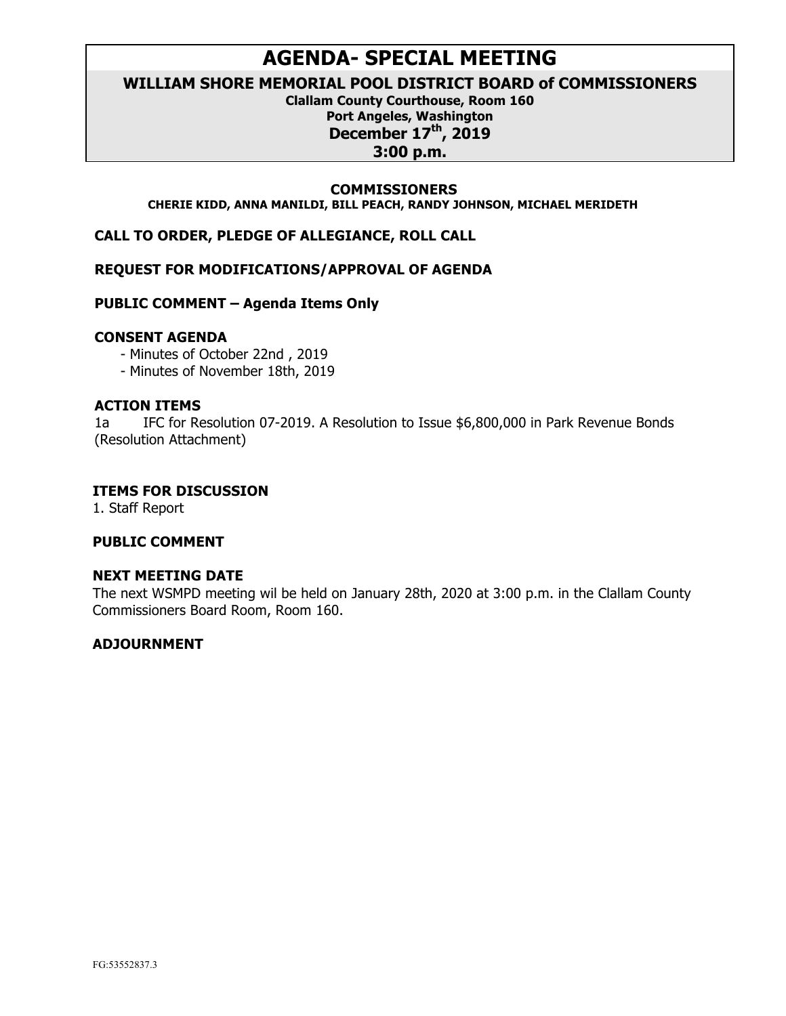# **AGENDA- SPECIAL MEETING**

**WILLIAM SHORE MEMORIAL POOL DISTRICT BOARD of COMMISSIONERS**

**Clallam County Courthouse, Room 160 Port Angeles, Washington December 17th, 2019 3:00 p.m.**

#### **COMMISSIONERS**

**CHERIE KIDD, ANNA MANILDI, BILL PEACH, RANDY JOHNSON, MICHAEL MERIDETH**

**CALL TO ORDER, PLEDGE OF ALLEGIANCE, ROLL CALL**

**REQUEST FOR MODIFICATIONS/APPROVAL OF AGENDA** 

**PUBLIC COMMENT – Agenda Items Only**

#### **CONSENT AGENDA**

- Minutes of October 22nd , 2019

- Minutes of November 18th, 2019

#### **ACTION ITEMS**

1a IFC for Resolution 07-2019. A Resolution to Issue \$6,800,000 in Park Revenue Bonds (Resolution Attachment)

#### **ITEMS FOR DISCUSSION**

1. Staff Report

#### **PUBLIC COMMENT**

#### **NEXT MEETING DATE**

The next WSMPD meeting wil be held on January 28th, 2020 at 3:00 p.m. in the Clallam County Commissioners Board Room, Room 160.

#### **ADJOURNMENT**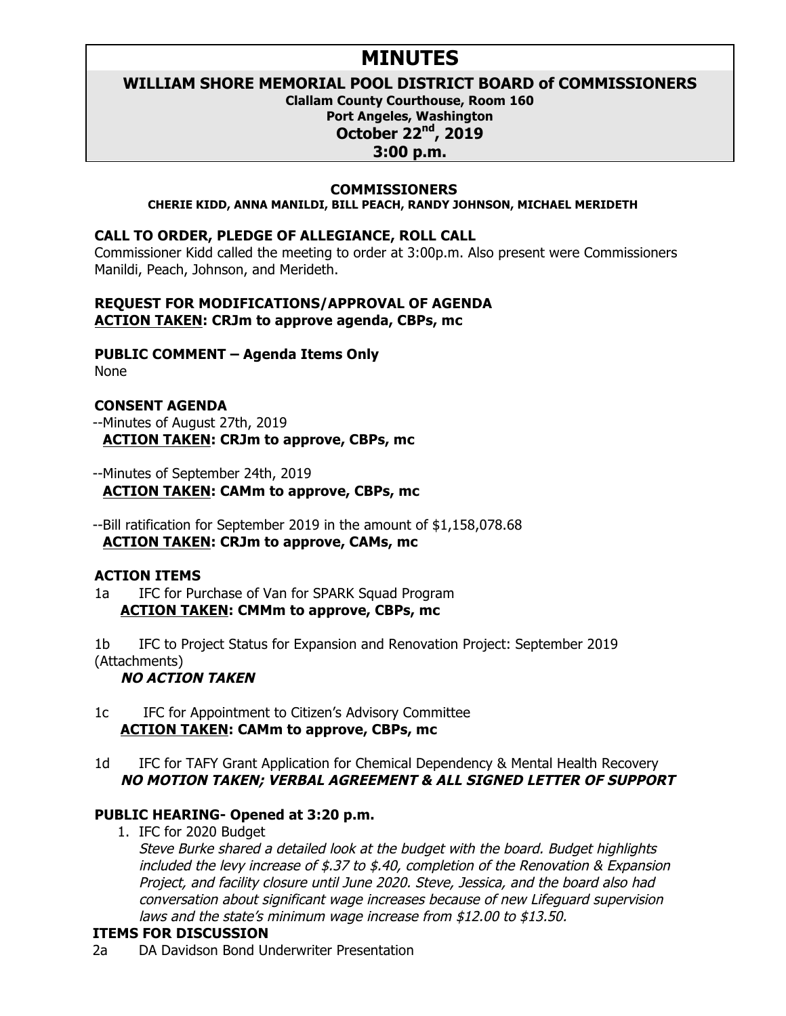# **MINUTES**

# **WILLIAM SHORE MEMORIAL POOL DISTRICT BOARD of COMMISSIONERS**

**Clallam County Courthouse, Room 160 Port Angeles, Washington October 22nd, 2019**

#### **3:00 p.m.**

#### **COMMISSIONERS**

**CHERIE KIDD, ANNA MANILDI, BILL PEACH, RANDY JOHNSON, MICHAEL MERIDETH**

#### **CALL TO ORDER, PLEDGE OF ALLEGIANCE, ROLL CALL**

Commissioner Kidd called the meeting to order at 3:00p.m. Also present were Commissioners Manildi, Peach, Johnson, and Merideth.

#### **REQUEST FOR MODIFICATIONS/APPROVAL OF AGENDA ACTION TAKEN: CRJm to approve agenda, CBPs, mc**

**PUBLIC COMMENT – Agenda Items Only**

None

# **CONSENT AGENDA**

--Minutes of August 27th, 2019  **ACTION TAKEN: CRJm to approve, CBPs, mc**

- --Minutes of September 24th, 2019  **ACTION TAKEN: CAMm to approve, CBPs, mc**
- --Bill ratification for September 2019 in the amount of \$1,158,078.68  **ACTION TAKEN: CRJm to approve, CAMs, mc**

## **ACTION ITEMS**

1a IFC for Purchase of Van for SPARK Squad Program **ACTION TAKEN: CMMm to approve, CBPs, mc**

1b IFC to Project Status for Expansion and Renovation Project: September 2019 (Attachments)

## **NO ACTION TAKEN**

- 1c IFC for Appointment to Citizen's Advisory Committee **ACTION TAKEN: CAMm to approve, CBPs, mc**
- 1d IFC for TAFY Grant Application for Chemical Dependency & Mental Health Recovery **NO MOTION TAKEN; VERBAL AGREEMENT & ALL SIGNED LETTER OF SUPPORT**

## **PUBLIC HEARING- Opened at 3:20 p.m.**

1. IFC for 2020 Budget

Steve Burke shared a detailed look at the budget with the board. Budget highlights included the levy increase of  $$.37$  to  $$.40$ , completion of the Renovation & Expansion Project, and facility closure until June 2020. Steve, Jessica, and the board also had conversation about significant wage increases because of new Lifeguard supervision laws and the state's minimum wage increase from \$12.00 to \$13.50.

# **ITEMS FOR DISCUSSION**

2a DA Davidson Bond Underwriter Presentation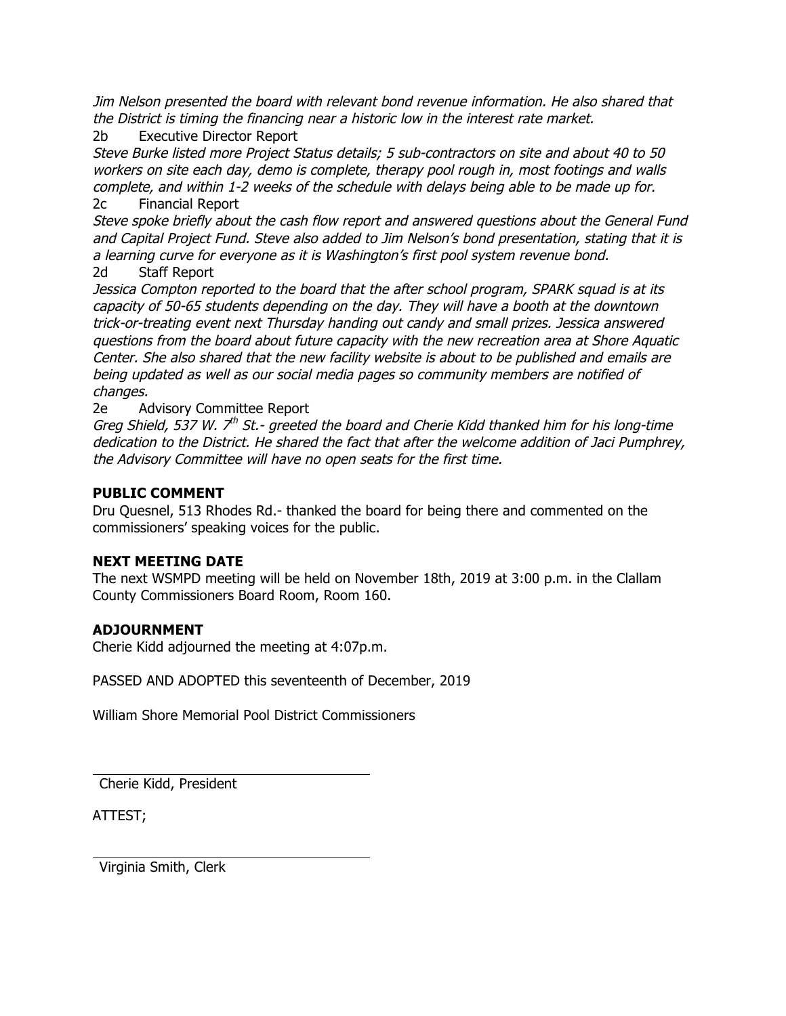Jim Nelson presented the board with relevant bond revenue information. He also shared that the District is timing the financing near a historic low in the interest rate market.

2b Executive Director Report

Steve Burke listed more Project Status details; 5 sub-contractors on site and about 40 to 50 workers on site each day, demo is complete, therapy pool rough in, most footings and walls complete, and within 1-2 weeks of the schedule with delays being able to be made up for. 2c Financial Report

Steve spoke briefly about the cash flow report and answered questions about the General Fund and Capital Project Fund. Steve also added to Jim Nelson's bond presentation, stating that it is a learning curve for everyone as it is Washington's first pool system revenue bond. 2d Staff Report

Jessica Compton reported to the board that the after school program, SPARK squad is at its capacity of 50-65 students depending on the day. They will have a booth at the downtown trick-or-treating event next Thursday handing out candy and small prizes. Jessica answered questions from the board about future capacity with the new recreation area at Shore Aquatic Center. She also shared that the new facility website is about to be published and emails are being updated as well as our social media pages so community members are notified of changes.

2e Advisory Committee Report

Greg Shield, 537 W.  $7<sup>th</sup>$  St.- greeted the board and Cherie Kidd thanked him for his long-time dedication to the District. He shared the fact that after the welcome addition of Jaci Pumphrey, the Advisory Committee will have no open seats for the first time.

# **PUBLIC COMMENT**

Dru Quesnel, 513 Rhodes Rd.- thanked the board for being there and commented on the commissioners' speaking voices for the public.

## **NEXT MEETING DATE**

The next WSMPD meeting will be held on November 18th, 2019 at 3:00 p.m. in the Clallam County Commissioners Board Room, Room 160.

# **ADJOURNMENT**

Cherie Kidd adjourned the meeting at 4:07p.m.

PASSED AND ADOPTED this seventeenth of December, 2019

William Shore Memorial Pool District Commissioners

Cherie Kidd, President

ATTEST;

Virginia Smith, Clerk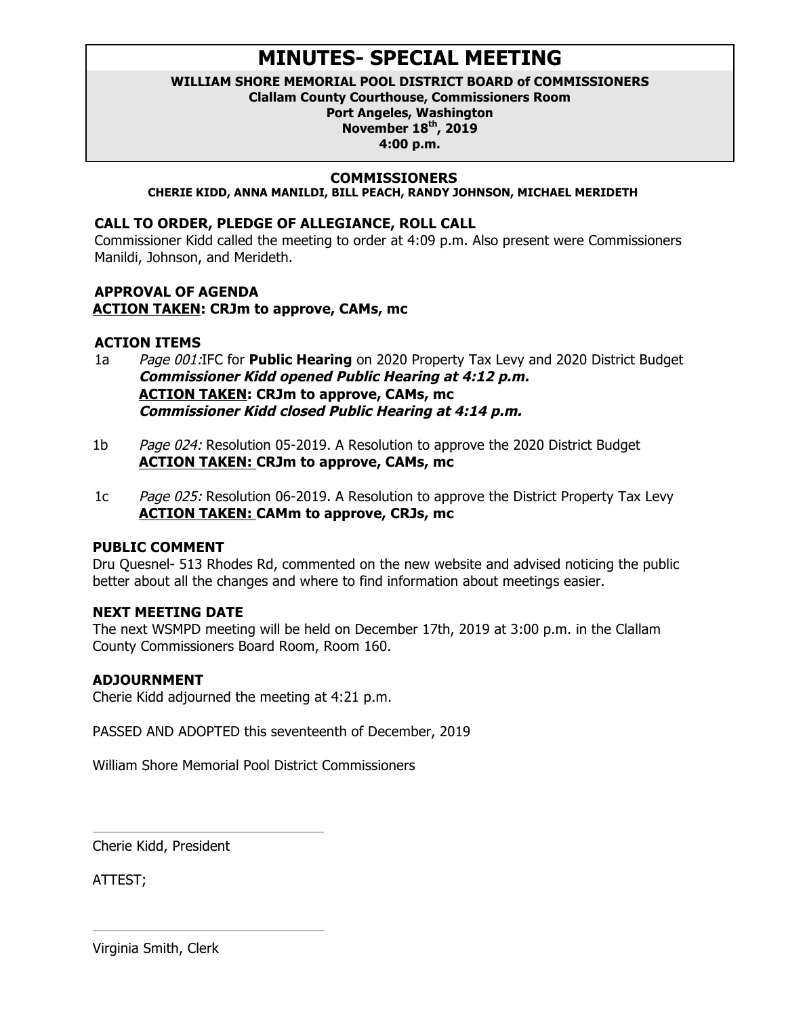# **MINUTES- SPECIAL MEETING**

# **WILLIAM SHORE MEMORIAL POOL DISTRICT BOARD of COMMISSIONERS**

**Clallam County Courthouse, Commissioners Room**

**Port Angeles, Washington**

**November 18th, 2019**

**4:00 p.m.**

## **COMMISSIONERS**

**CHERIE KIDD, ANNA MANILDI, BILL PEACH, RANDY JOHNSON, MICHAEL MERIDETH**

# **CALL TO ORDER, PLEDGE OF ALLEGIANCE, ROLL CALL**

Commissioner Kidd called the meeting to order at 4:09 p.m. Also present were Commissioners Manildi, Johnson, and Merideth.

#### **APPROVAL OF AGENDA ACTION TAKEN: CRJm to approve, CAMs, mc**

# **ACTION ITEMS**

- 1a Page 001:IFC for **Public Hearing** on 2020 Property Tax Levy and 2020 District Budget **Commissioner Kidd opened Public Hearing at 4:12 p.m. ACTION TAKEN: CRJm to approve, CAMs, mc Commissioner Kidd closed Public Hearing at 4:14 p.m.**
- 1b Page 024: Resolution 05-2019. A Resolution to approve the 2020 District Budget **ACTION TAKEN: CRJm to approve, CAMs, mc**
- 1c Page 025: Resolution 06-2019. A Resolution to approve the District Property Tax Levy **ACTION TAKEN: CAMm to approve, CRJs, mc**

## **PUBLIC COMMENT**

Dru Quesnel- 513 Rhodes Rd, commented on the new website and advised noticing the public better about all the changes and where to find information about meetings easier.

## **NEXT MEETING DATE**

The next WSMPD meeting will be held on December 17th, 2019 at 3:00 p.m. in the Clallam County Commissioners Board Room, Room 160.

# **ADJOURNMENT**

Cherie Kidd adjourned the meeting at 4:21 p.m.

PASSED AND ADOPTED this seventeenth of December, 2019

William Shore Memorial Pool District Commissioners

Cherie Kidd, President

ATTEST;

Virginia Smith, Clerk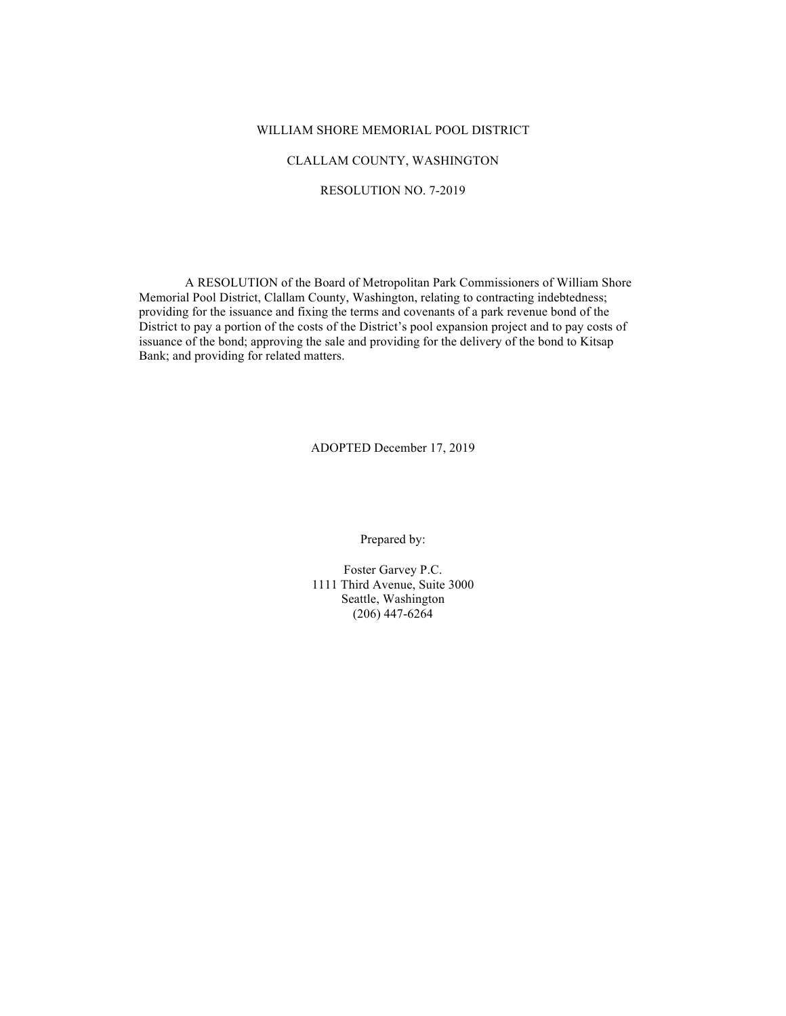#### WILLIAM SHORE MEMORIAL POOL DISTRICT

#### CLALLAM COUNTY, WASHINGTON

#### RESOLUTION NO. 7-2019

A RESOLUTION of the Board of Metropolitan Park Commissioners of William Shore Memorial Pool District, Clallam County, Washington, relating to contracting indebtedness; providing for the issuance and fixing the terms and covenants of a park revenue bond of the District to pay a portion of the costs of the District's pool expansion project and to pay costs of issuance of the bond; approving the sale and providing for the delivery of the bond to Kitsap Bank; and providing for related matters.

ADOPTED December 17, 2019

Prepared by:

Foster Garvey P.C. 1111 Third Avenue, Suite 3000 Seattle, Washington (206) 447-6264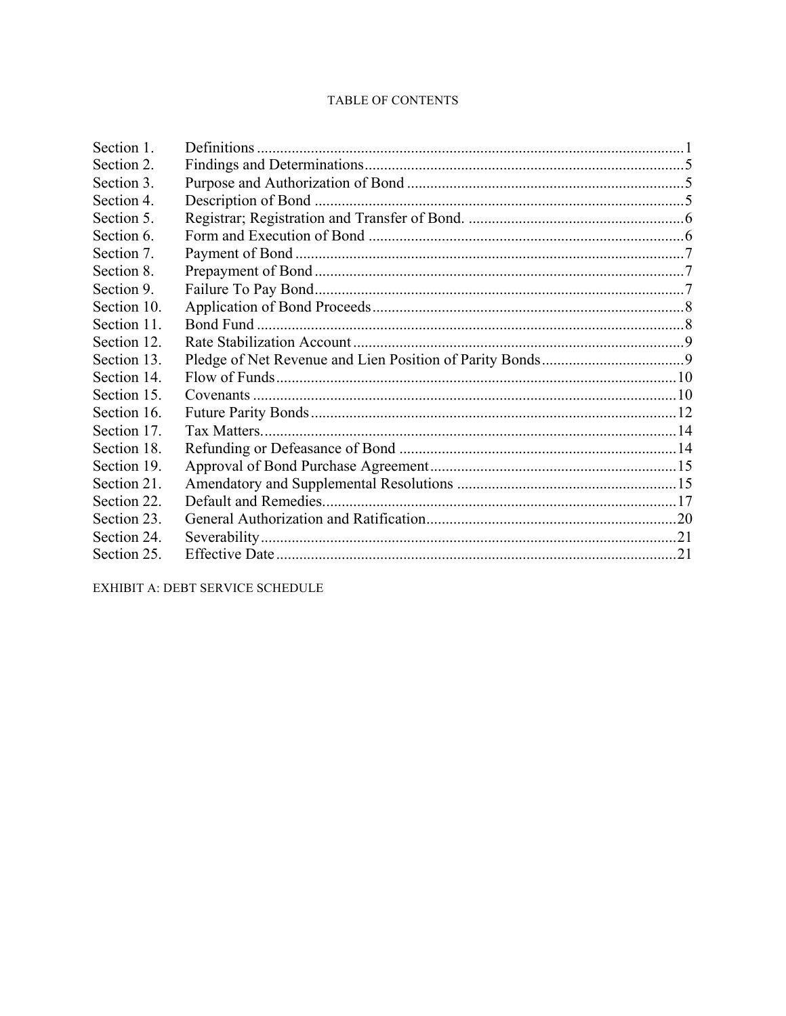## TABLE OF CONTENTS

| Section 1.  |  |
|-------------|--|
| Section 2.  |  |
| Section 3.  |  |
| Section 4.  |  |
| Section 5.  |  |
| Section 6.  |  |
| Section 7.  |  |
| Section 8.  |  |
| Section 9.  |  |
| Section 10. |  |
| Section 11. |  |
| Section 12. |  |
| Section 13. |  |
| Section 14. |  |
| Section 15. |  |
| Section 16. |  |
| Section 17. |  |
| Section 18. |  |
| Section 19. |  |
| Section 21. |  |
| Section 22. |  |
| Section 23. |  |
| Section 24. |  |
| Section 25. |  |

EXHIBIT A: DEBT SERVICE SCHEDULE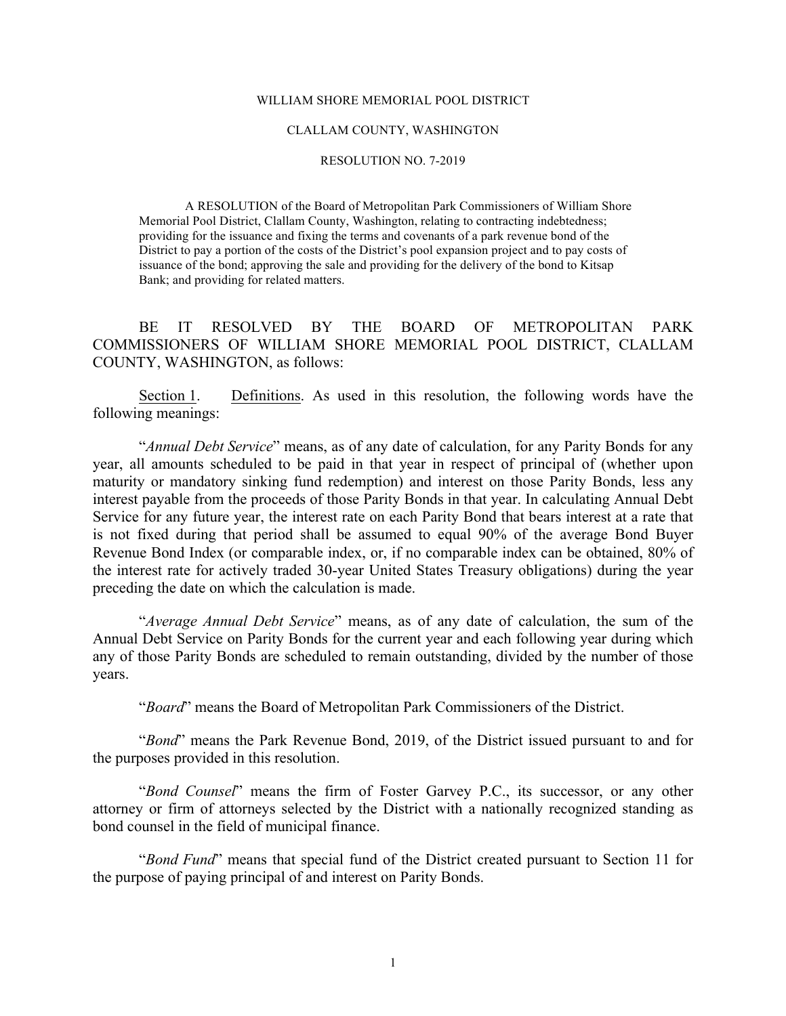#### WILLIAM SHORE MEMORIAL POOL DISTRICT

#### CLALLAM COUNTY, WASHINGTON

#### RESOLUTION NO. 7-2019

A RESOLUTION of the Board of Metropolitan Park Commissioners of William Shore Memorial Pool District, Clallam County, Washington, relating to contracting indebtedness; providing for the issuance and fixing the terms and covenants of a park revenue bond of the District to pay a portion of the costs of the District's pool expansion project and to pay costs of issuance of the bond; approving the sale and providing for the delivery of the bond to Kitsap Bank; and providing for related matters.

BE IT RESOLVED BY THE BOARD OF METROPOLITAN PARK COMMISSIONERS OF WILLIAM SHORE MEMORIAL POOL DISTRICT, CLALLAM COUNTY, WASHINGTON, as follows:

Section 1. Definitions. As used in this resolution, the following words have the following meanings:

"*Annual Debt Service*" means, as of any date of calculation, for any Parity Bonds for any year, all amounts scheduled to be paid in that year in respect of principal of (whether upon maturity or mandatory sinking fund redemption) and interest on those Parity Bonds, less any interest payable from the proceeds of those Parity Bonds in that year. In calculating Annual Debt Service for any future year, the interest rate on each Parity Bond that bears interest at a rate that is not fixed during that period shall be assumed to equal 90% of the average Bond Buyer Revenue Bond Index (or comparable index, or, if no comparable index can be obtained, 80% of the interest rate for actively traded 30-year United States Treasury obligations) during the year preceding the date on which the calculation is made.

"*Average Annual Debt Service*" means, as of any date of calculation, the sum of the Annual Debt Service on Parity Bonds for the current year and each following year during which any of those Parity Bonds are scheduled to remain outstanding, divided by the number of those years.

"*Board*" means the Board of Metropolitan Park Commissioners of the District.

"*Bond*" means the Park Revenue Bond, 2019, of the District issued pursuant to and for the purposes provided in this resolution.

"*Bond Counsel*" means the firm of Foster Garvey P.C., its successor, or any other attorney or firm of attorneys selected by the District with a nationally recognized standing as bond counsel in the field of municipal finance.

"*Bond Fund*" means that special fund of the District created pursuant to Section 11 for the purpose of paying principal of and interest on Parity Bonds.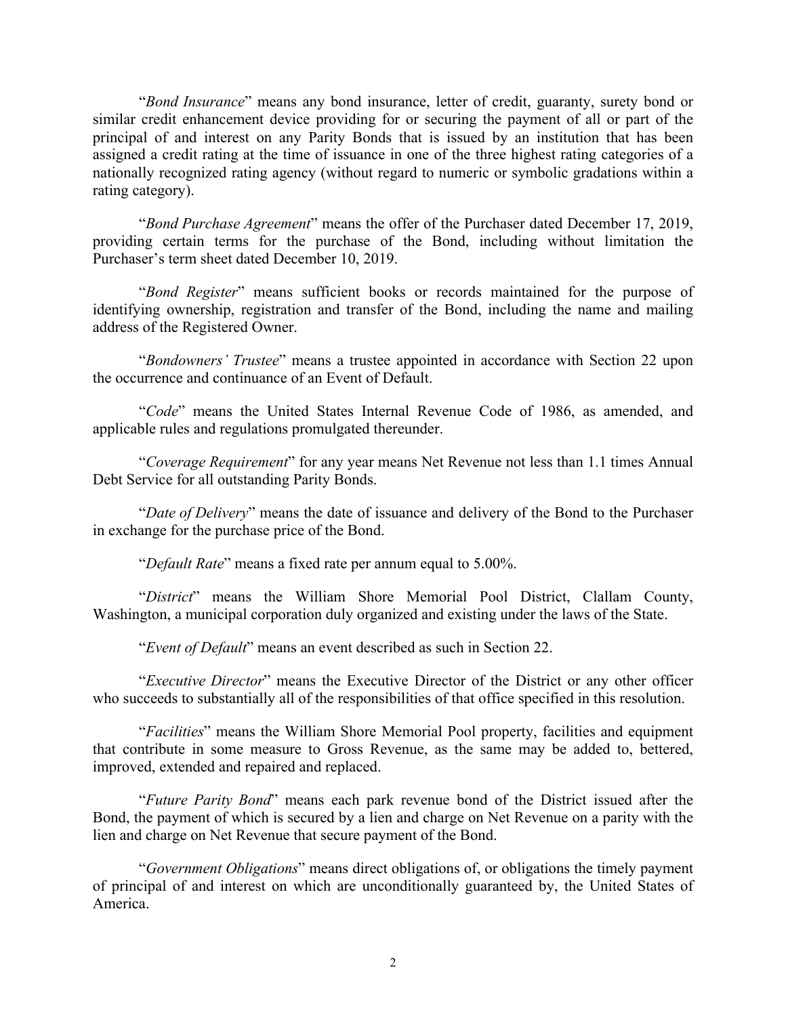"*Bond Insurance*" means any bond insurance, letter of credit, guaranty, surety bond or similar credit enhancement device providing for or securing the payment of all or part of the principal of and interest on any Parity Bonds that is issued by an institution that has been assigned a credit rating at the time of issuance in one of the three highest rating categories of a nationally recognized rating agency (without regard to numeric or symbolic gradations within a rating category).

"*Bond Purchase Agreement*" means the offer of the Purchaser dated December 17, 2019, providing certain terms for the purchase of the Bond, including without limitation the Purchaser's term sheet dated December 10, 2019.

"*Bond Register*" means sufficient books or records maintained for the purpose of identifying ownership, registration and transfer of the Bond, including the name and mailing address of the Registered Owner.

"*Bondowners' Trustee*" means a trustee appointed in accordance with Section 22 upon the occurrence and continuance of an Event of Default.

"*Code*" means the United States Internal Revenue Code of 1986, as amended, and applicable rules and regulations promulgated thereunder.

"*Coverage Requirement*" for any year means Net Revenue not less than 1.1 times Annual Debt Service for all outstanding Parity Bonds.

"*Date of Delivery*" means the date of issuance and delivery of the Bond to the Purchaser in exchange for the purchase price of the Bond.

"*Default Rate*" means a fixed rate per annum equal to 5.00%.

"*District*" means the William Shore Memorial Pool District, Clallam County, Washington, a municipal corporation duly organized and existing under the laws of the State.

"*Event of Default*" means an event described as such in Section 22.

"*Executive Director*" means the Executive Director of the District or any other officer who succeeds to substantially all of the responsibilities of that office specified in this resolution.

"*Facilities*" means the William Shore Memorial Pool property, facilities and equipment that contribute in some measure to Gross Revenue, as the same may be added to, bettered, improved, extended and repaired and replaced.

"*Future Parity Bond*" means each park revenue bond of the District issued after the Bond, the payment of which is secured by a lien and charge on Net Revenue on a parity with the lien and charge on Net Revenue that secure payment of the Bond.

"*Government Obligations*" means direct obligations of, or obligations the timely payment of principal of and interest on which are unconditionally guaranteed by, the United States of America.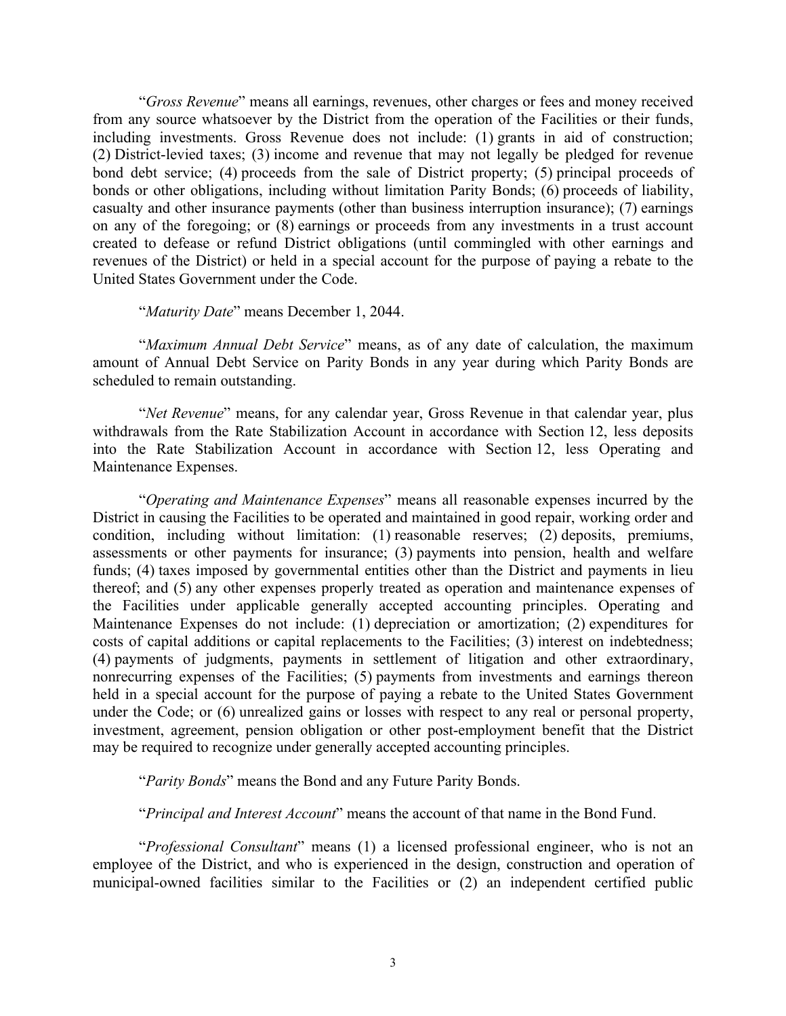"*Gross Revenue*" means all earnings, revenues, other charges or fees and money received from any source whatsoever by the District from the operation of the Facilities or their funds, including investments. Gross Revenue does not include: (1) grants in aid of construction; (2) District-levied taxes; (3) income and revenue that may not legally be pledged for revenue bond debt service; (4) proceeds from the sale of District property; (5) principal proceeds of bonds or other obligations, including without limitation Parity Bonds; (6) proceeds of liability, casualty and other insurance payments (other than business interruption insurance); (7) earnings on any of the foregoing; or (8) earnings or proceeds from any investments in a trust account created to defease or refund District obligations (until commingled with other earnings and revenues of the District) or held in a special account for the purpose of paying a rebate to the United States Government under the Code.

"*Maturity Date*" means December 1, 2044.

"*Maximum Annual Debt Service*" means, as of any date of calculation, the maximum amount of Annual Debt Service on Parity Bonds in any year during which Parity Bonds are scheduled to remain outstanding.

"*Net Revenue*" means, for any calendar year, Gross Revenue in that calendar year, plus withdrawals from the Rate Stabilization Account in accordance with Section 12, less deposits into the Rate Stabilization Account in accordance with Section 12, less Operating and Maintenance Expenses.

"*Operating and Maintenance Expenses*" means all reasonable expenses incurred by the District in causing the Facilities to be operated and maintained in good repair, working order and condition, including without limitation: (1) reasonable reserves; (2) deposits, premiums, assessments or other payments for insurance; (3) payments into pension, health and welfare funds; (4) taxes imposed by governmental entities other than the District and payments in lieu thereof; and (5) any other expenses properly treated as operation and maintenance expenses of the Facilities under applicable generally accepted accounting principles. Operating and Maintenance Expenses do not include: (1) depreciation or amortization; (2) expenditures for costs of capital additions or capital replacements to the Facilities; (3) interest on indebtedness; (4) payments of judgments, payments in settlement of litigation and other extraordinary, nonrecurring expenses of the Facilities; (5) payments from investments and earnings thereon held in a special account for the purpose of paying a rebate to the United States Government under the Code; or (6) unrealized gains or losses with respect to any real or personal property, investment, agreement, pension obligation or other post-employment benefit that the District may be required to recognize under generally accepted accounting principles.

"*Parity Bonds*" means the Bond and any Future Parity Bonds.

"*Principal and Interest Account*" means the account of that name in the Bond Fund.

"*Professional Consultant*" means (1) a licensed professional engineer, who is not an employee of the District, and who is experienced in the design, construction and operation of municipal-owned facilities similar to the Facilities or (2) an independent certified public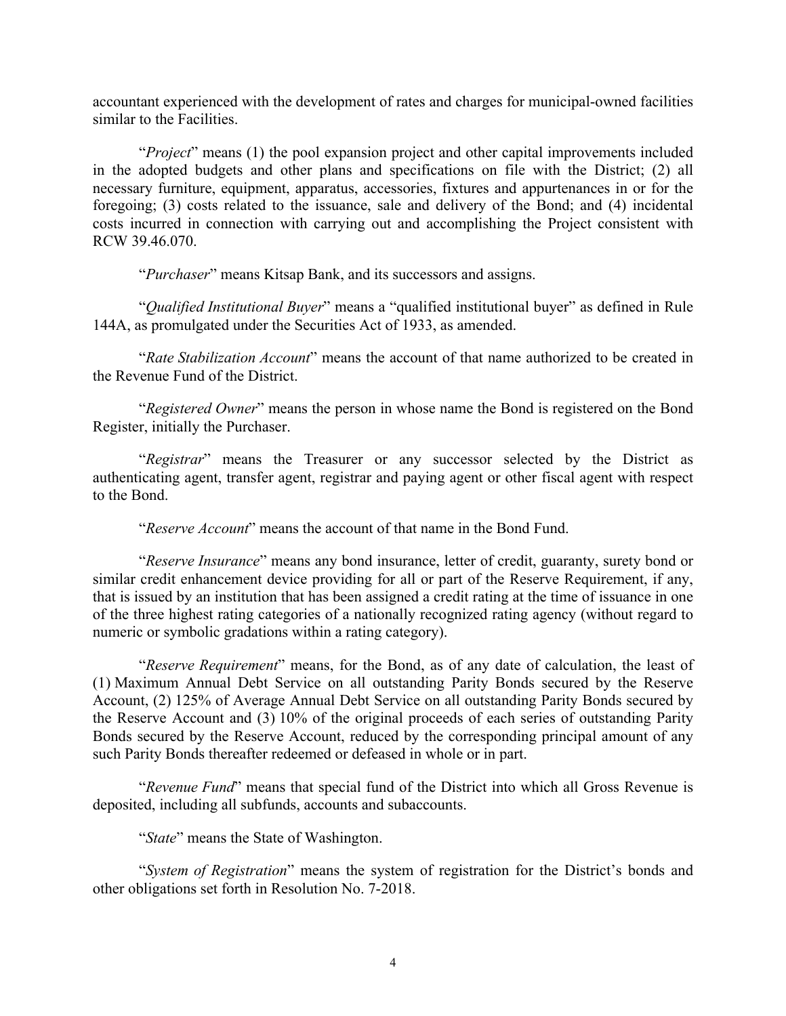accountant experienced with the development of rates and charges for municipal-owned facilities similar to the Facilities.

"*Project*" means (1) the pool expansion project and other capital improvements included in the adopted budgets and other plans and specifications on file with the District; (2) all necessary furniture, equipment, apparatus, accessories, fixtures and appurtenances in or for the foregoing; (3) costs related to the issuance, sale and delivery of the Bond; and (4) incidental costs incurred in connection with carrying out and accomplishing the Project consistent with RCW 39.46.070.

"*Purchaser*" means Kitsap Bank, and its successors and assigns.

"*Qualified Institutional Buyer*" means a "qualified institutional buyer" as defined in Rule 144A, as promulgated under the Securities Act of 1933, as amended.

"*Rate Stabilization Account*" means the account of that name authorized to be created in the Revenue Fund of the District.

"*Registered Owner*" means the person in whose name the Bond is registered on the Bond Register, initially the Purchaser.

"*Registrar*" means the Treasurer or any successor selected by the District as authenticating agent, transfer agent, registrar and paying agent or other fiscal agent with respect to the Bond.

"*Reserve Account*" means the account of that name in the Bond Fund.

"*Reserve Insurance*" means any bond insurance, letter of credit, guaranty, surety bond or similar credit enhancement device providing for all or part of the Reserve Requirement, if any, that is issued by an institution that has been assigned a credit rating at the time of issuance in one of the three highest rating categories of a nationally recognized rating agency (without regard to numeric or symbolic gradations within a rating category).

"*Reserve Requirement*" means, for the Bond, as of any date of calculation, the least of (1) Maximum Annual Debt Service on all outstanding Parity Bonds secured by the Reserve Account, (2) 125% of Average Annual Debt Service on all outstanding Parity Bonds secured by the Reserve Account and (3) 10% of the original proceeds of each series of outstanding Parity Bonds secured by the Reserve Account, reduced by the corresponding principal amount of any such Parity Bonds thereafter redeemed or defeased in whole or in part.

"*Revenue Fund*" means that special fund of the District into which all Gross Revenue is deposited, including all subfunds, accounts and subaccounts.

"*State*" means the State of Washington.

"*System of Registration*" means the system of registration for the District's bonds and other obligations set forth in Resolution No. 7-2018.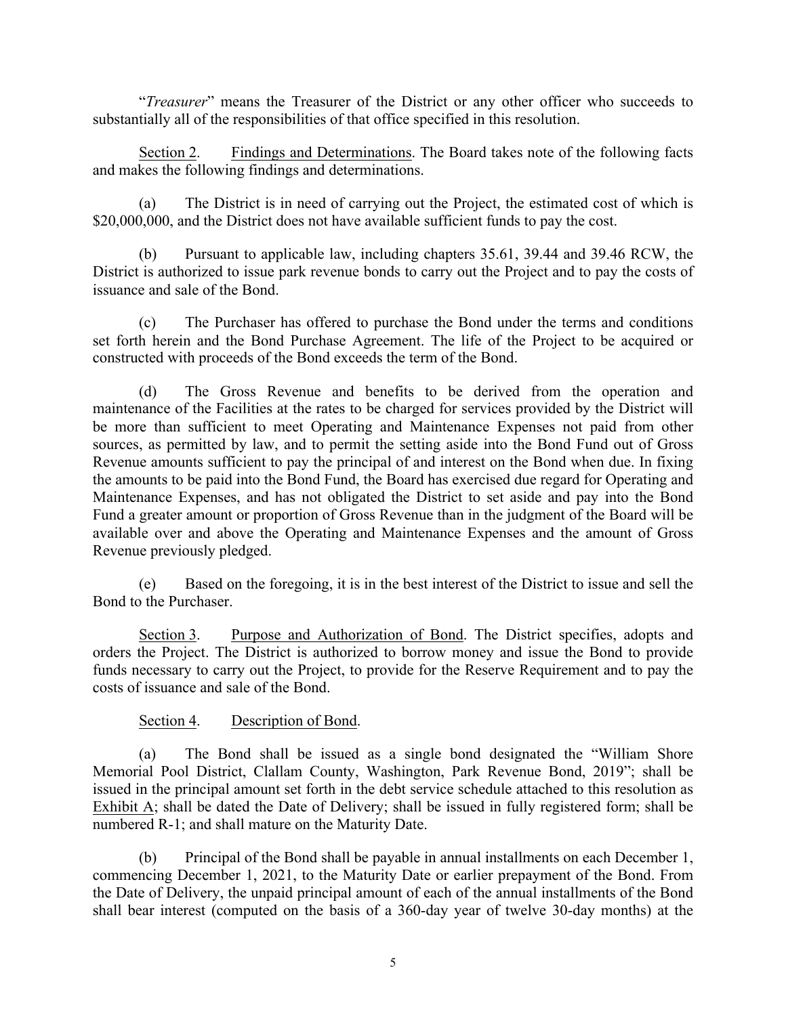"*Treasurer*" means the Treasurer of the District or any other officer who succeeds to substantially all of the responsibilities of that office specified in this resolution.

Section 2. Findings and Determinations. The Board takes note of the following facts and makes the following findings and determinations.

(a) The District is in need of carrying out the Project, the estimated cost of which is \$20,000,000, and the District does not have available sufficient funds to pay the cost.

(b) Pursuant to applicable law, including chapters 35.61, 39.44 and 39.46 RCW, the District is authorized to issue park revenue bonds to carry out the Project and to pay the costs of issuance and sale of the Bond.

(c) The Purchaser has offered to purchase the Bond under the terms and conditions set forth herein and the Bond Purchase Agreement. The life of the Project to be acquired or constructed with proceeds of the Bond exceeds the term of the Bond.

(d) The Gross Revenue and benefits to be derived from the operation and maintenance of the Facilities at the rates to be charged for services provided by the District will be more than sufficient to meet Operating and Maintenance Expenses not paid from other sources, as permitted by law, and to permit the setting aside into the Bond Fund out of Gross Revenue amounts sufficient to pay the principal of and interest on the Bond when due. In fixing the amounts to be paid into the Bond Fund, the Board has exercised due regard for Operating and Maintenance Expenses, and has not obligated the District to set aside and pay into the Bond Fund a greater amount or proportion of Gross Revenue than in the judgment of the Board will be available over and above the Operating and Maintenance Expenses and the amount of Gross Revenue previously pledged.

(e) Based on the foregoing, it is in the best interest of the District to issue and sell the Bond to the Purchaser.

Section 3. Purpose and Authorization of Bond. The District specifies, adopts and orders the Project. The District is authorized to borrow money and issue the Bond to provide funds necessary to carry out the Project, to provide for the Reserve Requirement and to pay the costs of issuance and sale of the Bond.

# Section 4. Description of Bond.

(a) The Bond shall be issued as a single bond designated the "William Shore Memorial Pool District, Clallam County, Washington, Park Revenue Bond, 2019"; shall be issued in the principal amount set forth in the debt service schedule attached to this resolution as Exhibit A; shall be dated the Date of Delivery; shall be issued in fully registered form; shall be numbered R-1; and shall mature on the Maturity Date.

(b) Principal of the Bond shall be payable in annual installments on each December 1, commencing December 1, 2021, to the Maturity Date or earlier prepayment of the Bond. From the Date of Delivery, the unpaid principal amount of each of the annual installments of the Bond shall bear interest (computed on the basis of a 360-day year of twelve 30-day months) at the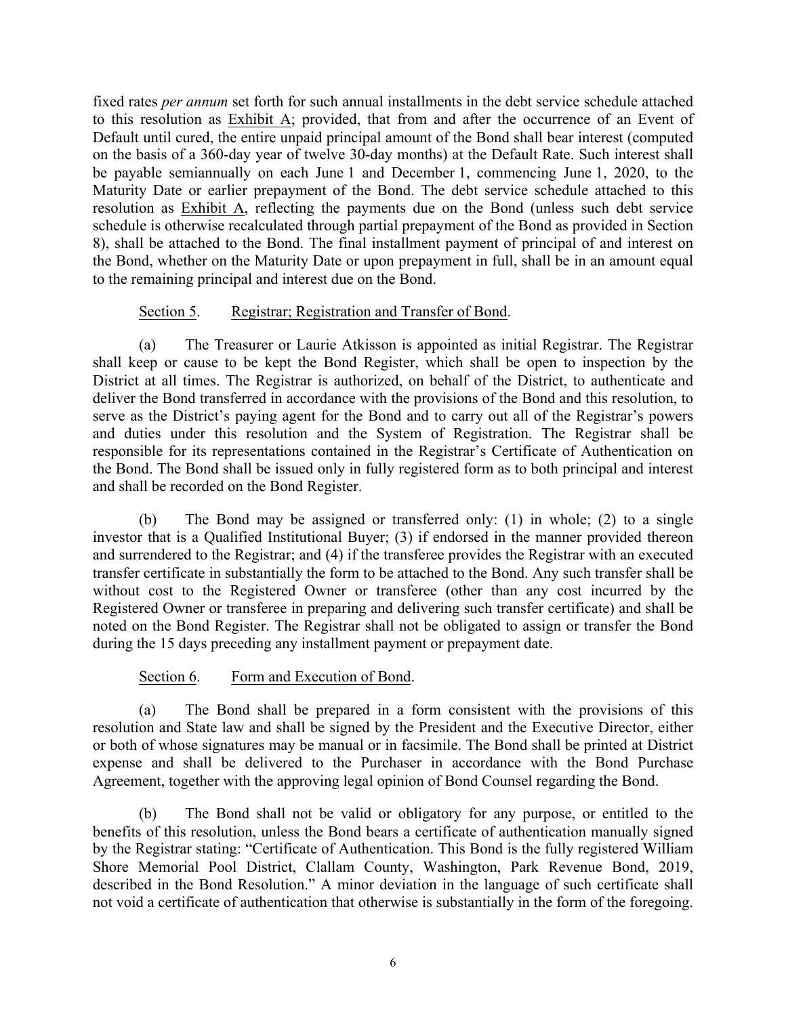fixed rates *per annum* set forth for such annual installments in the debt service schedule attached to this resolution as Exhibit A; provided, that from and after the occurrence of an Event of Default until cured, the entire unpaid principal amount of the Bond shall bear interest (computed on the basis of a 360-day year of twelve 30-day months) at the Default Rate. Such interest shall be payable semiannually on each June 1 and December 1, commencing June 1, 2020, to the Maturity Date or earlier prepayment of the Bond. The debt service schedule attached to this resolution as Exhibit A, reflecting the payments due on the Bond (unless such debt service schedule is otherwise recalculated through partial prepayment of the Bond as provided in Section 8), shall be attached to the Bond. The final installment payment of principal of and interest on the Bond, whether on the Maturity Date or upon prepayment in full, shall be in an amount equal to the remaining principal and interest due on the Bond.

# Section 5. Registrar; Registration and Transfer of Bond.

(a) The Treasurer or Laurie Atkisson is appointed as initial Registrar. The Registrar shall keep or cause to be kept the Bond Register, which shall be open to inspection by the District at all times. The Registrar is authorized, on behalf of the District, to authenticate and deliver the Bond transferred in accordance with the provisions of the Bond and this resolution, to serve as the District's paying agent for the Bond and to carry out all of the Registrar's powers and duties under this resolution and the System of Registration. The Registrar shall be responsible for its representations contained in the Registrar's Certificate of Authentication on the Bond. The Bond shall be issued only in fully registered form as to both principal and interest and shall be recorded on the Bond Register.

(b) The Bond may be assigned or transferred only: (1) in whole; (2) to a single investor that is a Qualified Institutional Buyer; (3) if endorsed in the manner provided thereon and surrendered to the Registrar; and (4) if the transferee provides the Registrar with an executed transfer certificate in substantially the form to be attached to the Bond. Any such transfer shall be without cost to the Registered Owner or transferee (other than any cost incurred by the Registered Owner or transferee in preparing and delivering such transfer certificate) and shall be noted on the Bond Register. The Registrar shall not be obligated to assign or transfer the Bond during the 15 days preceding any installment payment or prepayment date.

# Section 6. Form and Execution of Bond.

(a) The Bond shall be prepared in a form consistent with the provisions of this resolution and State law and shall be signed by the President and the Executive Director, either or both of whose signatures may be manual or in facsimile. The Bond shall be printed at District expense and shall be delivered to the Purchaser in accordance with the Bond Purchase Agreement, together with the approving legal opinion of Bond Counsel regarding the Bond.

(b) The Bond shall not be valid or obligatory for any purpose, or entitled to the benefits of this resolution, unless the Bond bears a certificate of authentication manually signed by the Registrar stating: "Certificate of Authentication. This Bond is the fully registered William Shore Memorial Pool District, Clallam County, Washington, Park Revenue Bond, 2019, described in the Bond Resolution." A minor deviation in the language of such certificate shall not void a certificate of authentication that otherwise is substantially in the form of the foregoing.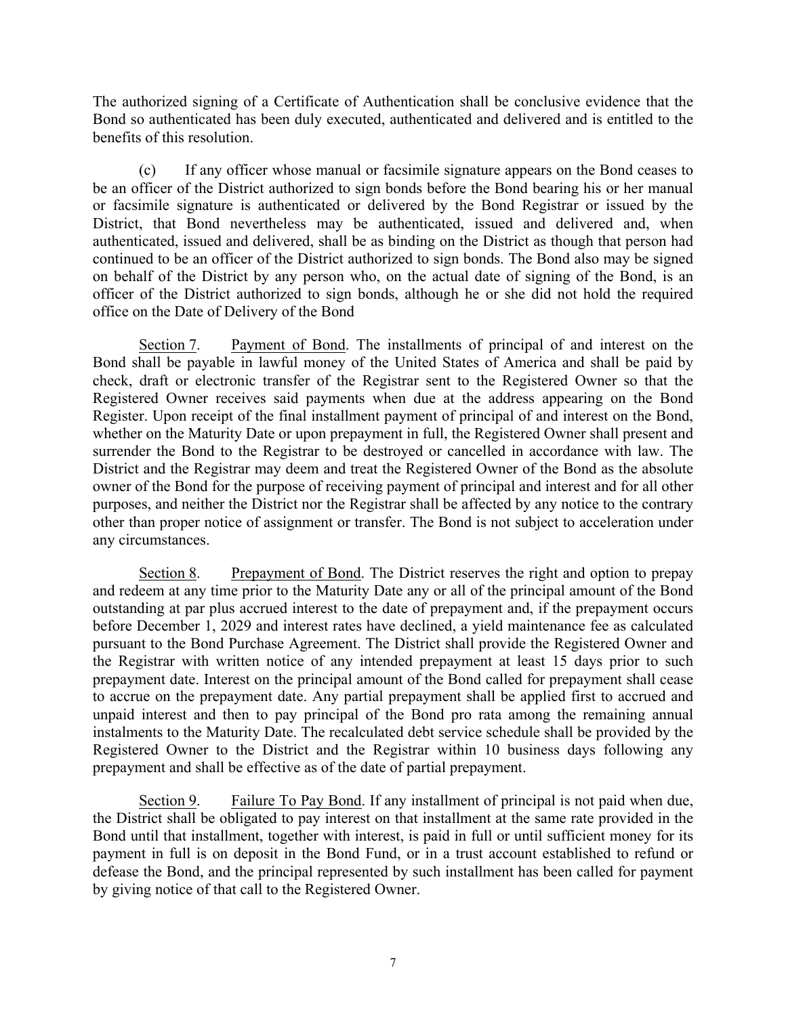The authorized signing of a Certificate of Authentication shall be conclusive evidence that the Bond so authenticated has been duly executed, authenticated and delivered and is entitled to the benefits of this resolution.

(c) If any officer whose manual or facsimile signature appears on the Bond ceases to be an officer of the District authorized to sign bonds before the Bond bearing his or her manual or facsimile signature is authenticated or delivered by the Bond Registrar or issued by the District, that Bond nevertheless may be authenticated, issued and delivered and, when authenticated, issued and delivered, shall be as binding on the District as though that person had continued to be an officer of the District authorized to sign bonds. The Bond also may be signed on behalf of the District by any person who, on the actual date of signing of the Bond, is an officer of the District authorized to sign bonds, although he or she did not hold the required office on the Date of Delivery of the Bond

Section 7. Payment of Bond. The installments of principal of and interest on the Bond shall be payable in lawful money of the United States of America and shall be paid by check, draft or electronic transfer of the Registrar sent to the Registered Owner so that the Registered Owner receives said payments when due at the address appearing on the Bond Register. Upon receipt of the final installment payment of principal of and interest on the Bond, whether on the Maturity Date or upon prepayment in full, the Registered Owner shall present and surrender the Bond to the Registrar to be destroyed or cancelled in accordance with law. The District and the Registrar may deem and treat the Registered Owner of the Bond as the absolute owner of the Bond for the purpose of receiving payment of principal and interest and for all other purposes, and neither the District nor the Registrar shall be affected by any notice to the contrary other than proper notice of assignment or transfer. The Bond is not subject to acceleration under any circumstances.

Section 8. Prepayment of Bond. The District reserves the right and option to prepay and redeem at any time prior to the Maturity Date any or all of the principal amount of the Bond outstanding at par plus accrued interest to the date of prepayment and, if the prepayment occurs before December 1, 2029 and interest rates have declined, a yield maintenance fee as calculated pursuant to the Bond Purchase Agreement. The District shall provide the Registered Owner and the Registrar with written notice of any intended prepayment at least 15 days prior to such prepayment date. Interest on the principal amount of the Bond called for prepayment shall cease to accrue on the prepayment date. Any partial prepayment shall be applied first to accrued and unpaid interest and then to pay principal of the Bond pro rata among the remaining annual instalments to the Maturity Date. The recalculated debt service schedule shall be provided by the Registered Owner to the District and the Registrar within 10 business days following any prepayment and shall be effective as of the date of partial prepayment.

Section 9. Failure To Pay Bond. If any installment of principal is not paid when due, the District shall be obligated to pay interest on that installment at the same rate provided in the Bond until that installment, together with interest, is paid in full or until sufficient money for its payment in full is on deposit in the Bond Fund, or in a trust account established to refund or defease the Bond, and the principal represented by such installment has been called for payment by giving notice of that call to the Registered Owner.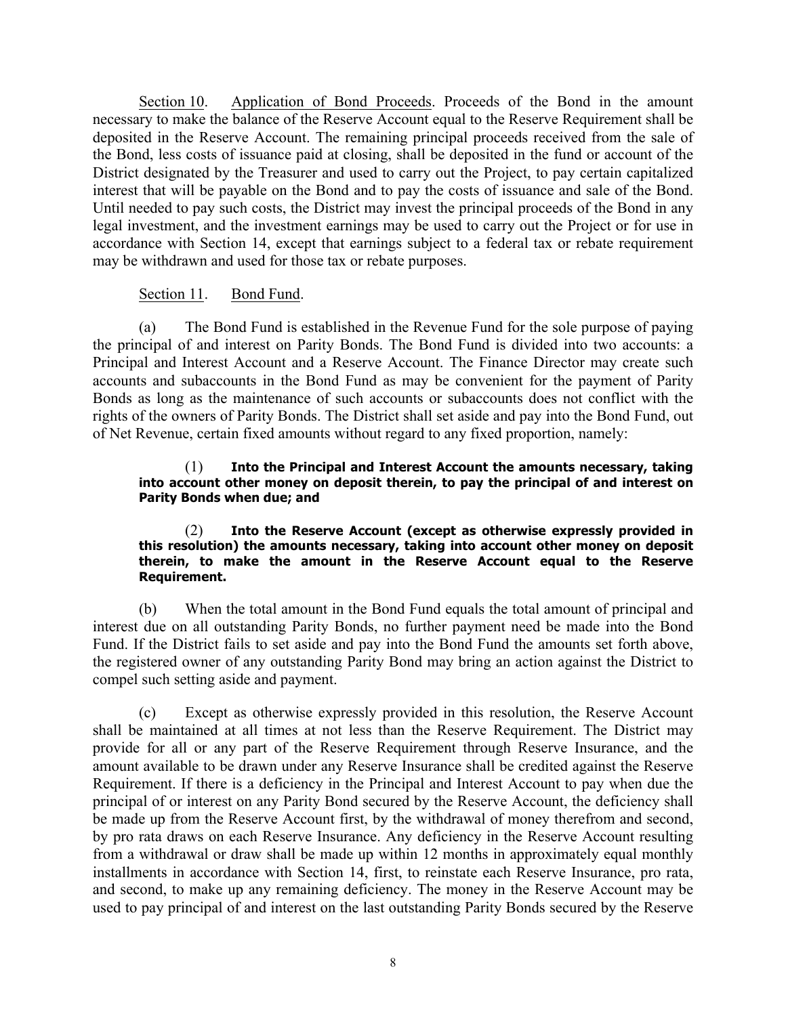Section 10. Application of Bond Proceeds. Proceeds of the Bond in the amount necessary to make the balance of the Reserve Account equal to the Reserve Requirement shall be deposited in the Reserve Account. The remaining principal proceeds received from the sale of the Bond, less costs of issuance paid at closing, shall be deposited in the fund or account of the District designated by the Treasurer and used to carry out the Project, to pay certain capitalized interest that will be payable on the Bond and to pay the costs of issuance and sale of the Bond. Until needed to pay such costs, the District may invest the principal proceeds of the Bond in any legal investment, and the investment earnings may be used to carry out the Project or for use in accordance with Section 14, except that earnings subject to a federal tax or rebate requirement may be withdrawn and used for those tax or rebate purposes.

## Section 11. Bond Fund.

(a) The Bond Fund is established in the Revenue Fund for the sole purpose of paying the principal of and interest on Parity Bonds. The Bond Fund is divided into two accounts: a Principal and Interest Account and a Reserve Account. The Finance Director may create such accounts and subaccounts in the Bond Fund as may be convenient for the payment of Parity Bonds as long as the maintenance of such accounts or subaccounts does not conflict with the rights of the owners of Parity Bonds. The District shall set aside and pay into the Bond Fund, out of Net Revenue, certain fixed amounts without regard to any fixed proportion, namely:

#### (1) **Into the Principal and Interest Account the amounts necessary, taking into account other money on deposit therein, to pay the principal of and interest on Parity Bonds when due; and**

#### (2) **Into the Reserve Account (except as otherwise expressly provided in this resolution) the amounts necessary, taking into account other money on deposit therein, to make the amount in the Reserve Account equal to the Reserve Requirement.**

(b) When the total amount in the Bond Fund equals the total amount of principal and interest due on all outstanding Parity Bonds, no further payment need be made into the Bond Fund. If the District fails to set aside and pay into the Bond Fund the amounts set forth above, the registered owner of any outstanding Parity Bond may bring an action against the District to compel such setting aside and payment.

(c) Except as otherwise expressly provided in this resolution, the Reserve Account shall be maintained at all times at not less than the Reserve Requirement. The District may provide for all or any part of the Reserve Requirement through Reserve Insurance, and the amount available to be drawn under any Reserve Insurance shall be credited against the Reserve Requirement. If there is a deficiency in the Principal and Interest Account to pay when due the principal of or interest on any Parity Bond secured by the Reserve Account, the deficiency shall be made up from the Reserve Account first, by the withdrawal of money therefrom and second, by pro rata draws on each Reserve Insurance. Any deficiency in the Reserve Account resulting from a withdrawal or draw shall be made up within 12 months in approximately equal monthly installments in accordance with Section 14, first, to reinstate each Reserve Insurance, pro rata, and second, to make up any remaining deficiency. The money in the Reserve Account may be used to pay principal of and interest on the last outstanding Parity Bonds secured by the Reserve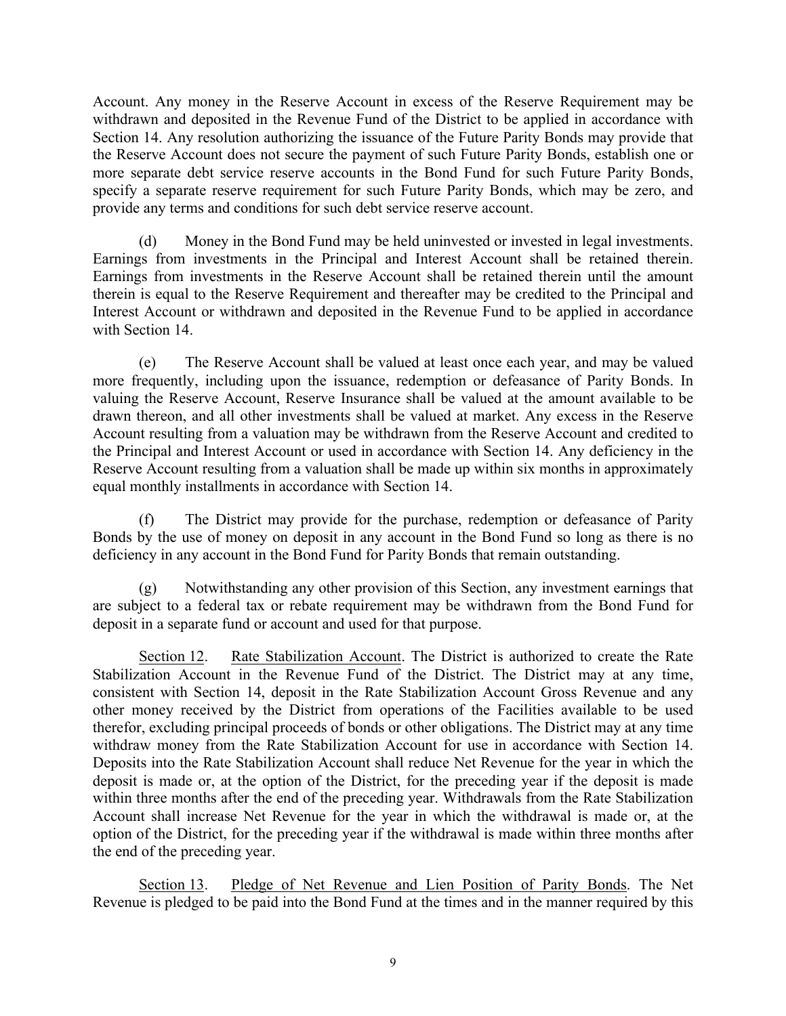Account. Any money in the Reserve Account in excess of the Reserve Requirement may be withdrawn and deposited in the Revenue Fund of the District to be applied in accordance with Section 14. Any resolution authorizing the issuance of the Future Parity Bonds may provide that the Reserve Account does not secure the payment of such Future Parity Bonds, establish one or more separate debt service reserve accounts in the Bond Fund for such Future Parity Bonds, specify a separate reserve requirement for such Future Parity Bonds, which may be zero, and provide any terms and conditions for such debt service reserve account.

(d) Money in the Bond Fund may be held uninvested or invested in legal investments. Earnings from investments in the Principal and Interest Account shall be retained therein. Earnings from investments in the Reserve Account shall be retained therein until the amount therein is equal to the Reserve Requirement and thereafter may be credited to the Principal and Interest Account or withdrawn and deposited in the Revenue Fund to be applied in accordance with Section 14

(e) The Reserve Account shall be valued at least once each year, and may be valued more frequently, including upon the issuance, redemption or defeasance of Parity Bonds. In valuing the Reserve Account, Reserve Insurance shall be valued at the amount available to be drawn thereon, and all other investments shall be valued at market. Any excess in the Reserve Account resulting from a valuation may be withdrawn from the Reserve Account and credited to the Principal and Interest Account or used in accordance with Section 14. Any deficiency in the Reserve Account resulting from a valuation shall be made up within six months in approximately equal monthly installments in accordance with Section 14.

(f) The District may provide for the purchase, redemption or defeasance of Parity Bonds by the use of money on deposit in any account in the Bond Fund so long as there is no deficiency in any account in the Bond Fund for Parity Bonds that remain outstanding.

(g) Notwithstanding any other provision of this Section, any investment earnings that are subject to a federal tax or rebate requirement may be withdrawn from the Bond Fund for deposit in a separate fund or account and used for that purpose.

Section 12. Rate Stabilization Account. The District is authorized to create the Rate Stabilization Account in the Revenue Fund of the District. The District may at any time, consistent with Section 14, deposit in the Rate Stabilization Account Gross Revenue and any other money received by the District from operations of the Facilities available to be used therefor, excluding principal proceeds of bonds or other obligations. The District may at any time withdraw money from the Rate Stabilization Account for use in accordance with Section 14. Deposits into the Rate Stabilization Account shall reduce Net Revenue for the year in which the deposit is made or, at the option of the District, for the preceding year if the deposit is made within three months after the end of the preceding year. Withdrawals from the Rate Stabilization Account shall increase Net Revenue for the year in which the withdrawal is made or, at the option of the District, for the preceding year if the withdrawal is made within three months after the end of the preceding year.

Section 13. Pledge of Net Revenue and Lien Position of Parity Bonds. The Net Revenue is pledged to be paid into the Bond Fund at the times and in the manner required by this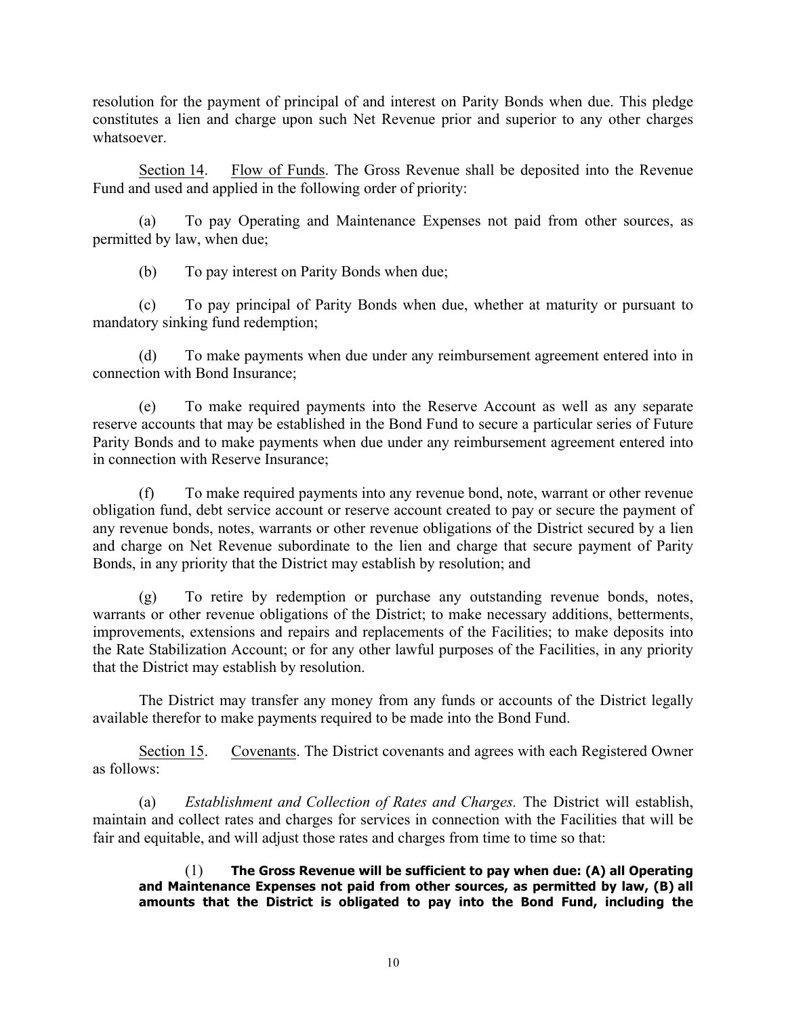resolution for the payment of principal of and interest on Parity Bonds when due. This pledge constitutes a lien and charge upon such Net Revenue prior and superior to any other charges whatsoever.

Section 14. Flow of Funds. The Gross Revenue shall be deposited into the Revenue Fund and used and applied in the following order of priority:

(a) To pay Operating and Maintenance Expenses not paid from other sources, as permitted by law, when due;

(b) To pay interest on Parity Bonds when due;

(c) To pay principal of Parity Bonds when due, whether at maturity or pursuant to mandatory sinking fund redemption;

(d) To make payments when due under any reimbursement agreement entered into in connection with Bond Insurance;

(e) To make required payments into the Reserve Account as well as any separate reserve accounts that may be established in the Bond Fund to secure a particular series of Future Parity Bonds and to make payments when due under any reimbursement agreement entered into in connection with Reserve Insurance;

(f) To make required payments into any revenue bond, note, warrant or other revenue obligation fund, debt service account or reserve account created to pay or secure the payment of any revenue bonds, notes, warrants or other revenue obligations of the District secured by a lien and charge on Net Revenue subordinate to the lien and charge that secure payment of Parity Bonds, in any priority that the District may establish by resolution; and

(g) To retire by redemption or purchase any outstanding revenue bonds, notes, warrants or other revenue obligations of the District; to make necessary additions, betterments, improvements, extensions and repairs and replacements of the Facilities; to make deposits into the Rate Stabilization Account; or for any other lawful purposes of the Facilities, in any priority that the District may establish by resolution.

The District may transfer any money from any funds or accounts of the District legally available therefor to make payments required to be made into the Bond Fund.

Section 15. Covenants. The District covenants and agrees with each Registered Owner as follows:

(a) *Establishment and Collection of Rates and Charges.* The District will establish, maintain and collect rates and charges for services in connection with the Facilities that will be fair and equitable, and will adjust those rates and charges from time to time so that:

(1) **The Gross Revenue will be sufficient to pay when due: (A) all Operating and Maintenance Expenses not paid from other sources, as permitted by law, (B) all amounts that the District is obligated to pay into the Bond Fund, including the**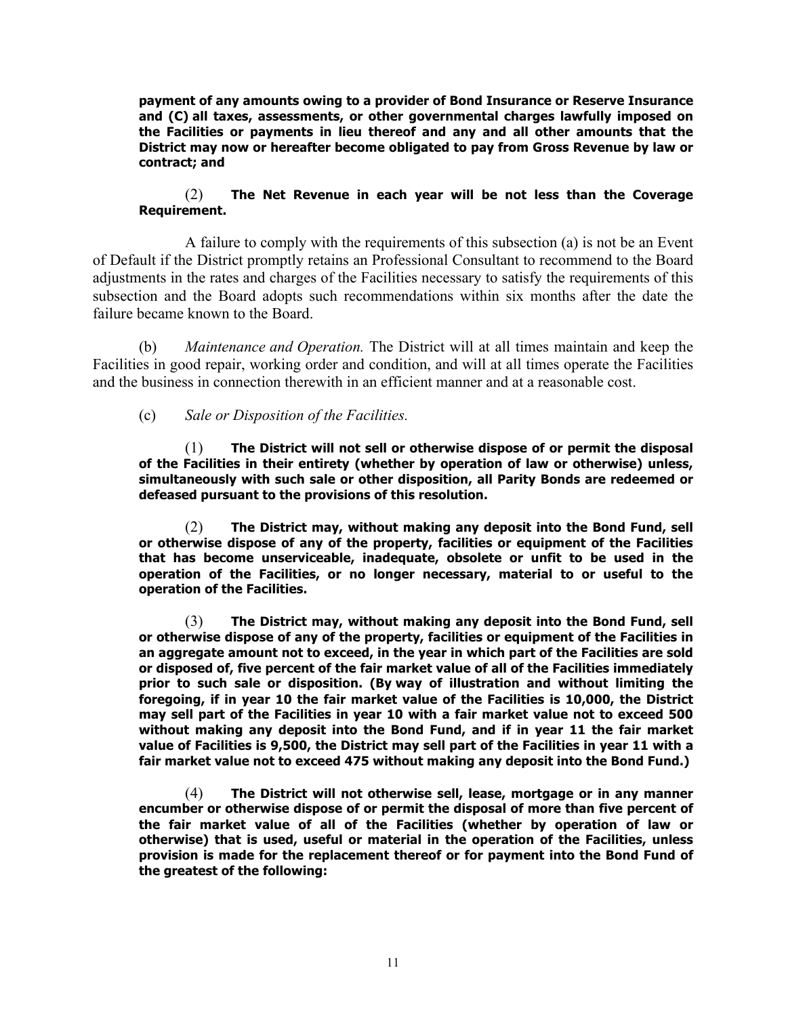**payment of any amounts owing to a provider of Bond Insurance or Reserve Insurance and (C) all taxes, assessments, or other governmental charges lawfully imposed on the Facilities or payments in lieu thereof and any and all other amounts that the District may now or hereafter become obligated to pay from Gross Revenue by law or contract; and**

## (2) **The Net Revenue in each year will be not less than the Coverage Requirement.**

A failure to comply with the requirements of this subsection (a) is not be an Event of Default if the District promptly retains an Professional Consultant to recommend to the Board adjustments in the rates and charges of the Facilities necessary to satisfy the requirements of this subsection and the Board adopts such recommendations within six months after the date the failure became known to the Board.

(b) *Maintenance and Operation.* The District will at all times maintain and keep the Facilities in good repair, working order and condition, and will at all times operate the Facilities and the business in connection therewith in an efficient manner and at a reasonable cost.

## (c) *Sale or Disposition of the Facilities.*

(1) **The District will not sell or otherwise dispose of or permit the disposal of the Facilities in their entirety (whether by operation of law or otherwise) unless, simultaneously with such sale or other disposition, all Parity Bonds are redeemed or defeased pursuant to the provisions of this resolution.**

(2) **The District may, without making any deposit into the Bond Fund, sell or otherwise dispose of any of the property, facilities or equipment of the Facilities that has become unserviceable, inadequate, obsolete or unfit to be used in the operation of the Facilities, or no longer necessary, material to or useful to the operation of the Facilities.**

(3) **The District may, without making any deposit into the Bond Fund, sell or otherwise dispose of any of the property, facilities or equipment of the Facilities in an aggregate amount not to exceed, in the year in which part of the Facilities are sold or disposed of, five percent of the fair market value of all of the Facilities immediately prior to such sale or disposition. (By way of illustration and without limiting the foregoing, if in year 10 the fair market value of the Facilities is 10,000, the District may sell part of the Facilities in year 10 with a fair market value not to exceed 500 without making any deposit into the Bond Fund, and if in year 11 the fair market value of Facilities is 9,500, the District may sell part of the Facilities in year 11 with a fair market value not to exceed 475 without making any deposit into the Bond Fund.)**

(4) **The District will not otherwise sell, lease, mortgage or in any manner encumber or otherwise dispose of or permit the disposal of more than five percent of the fair market value of all of the Facilities (whether by operation of law or otherwise) that is used, useful or material in the operation of the Facilities, unless provision is made for the replacement thereof or for payment into the Bond Fund of the greatest of the following:**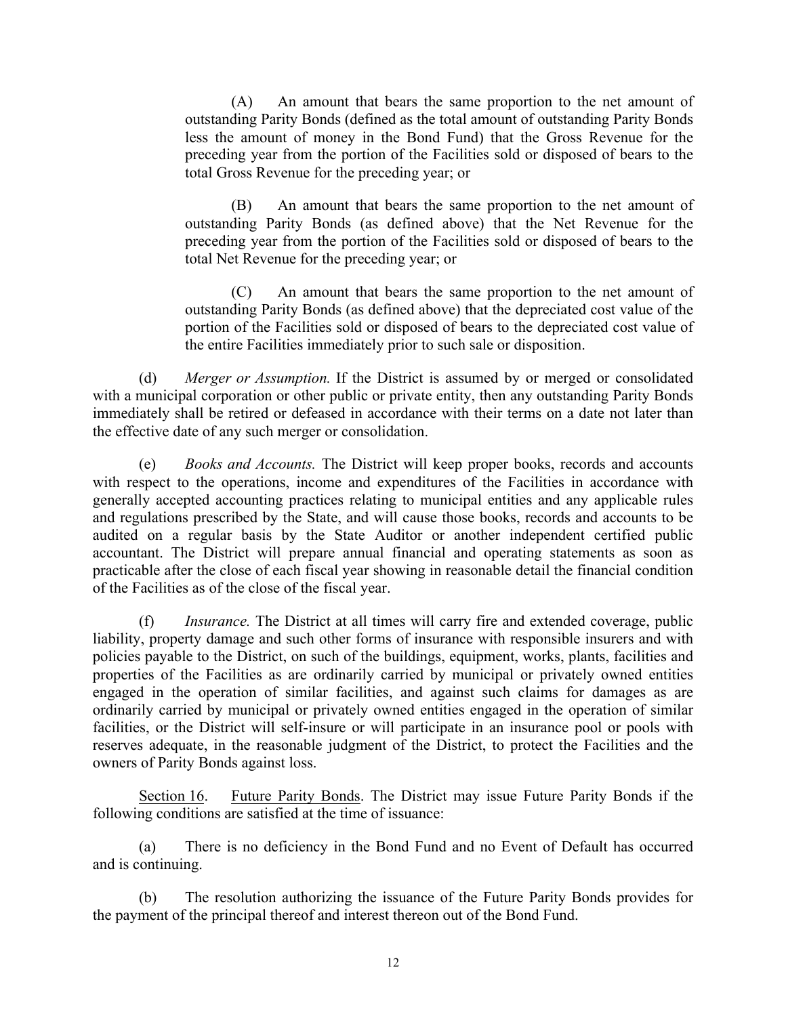(A) An amount that bears the same proportion to the net amount of outstanding Parity Bonds (defined as the total amount of outstanding Parity Bonds less the amount of money in the Bond Fund) that the Gross Revenue for the preceding year from the portion of the Facilities sold or disposed of bears to the total Gross Revenue for the preceding year; or

(B) An amount that bears the same proportion to the net amount of outstanding Parity Bonds (as defined above) that the Net Revenue for the preceding year from the portion of the Facilities sold or disposed of bears to the total Net Revenue for the preceding year; or

(C) An amount that bears the same proportion to the net amount of outstanding Parity Bonds (as defined above) that the depreciated cost value of the portion of the Facilities sold or disposed of bears to the depreciated cost value of the entire Facilities immediately prior to such sale or disposition.

(d) *Merger or Assumption.* If the District is assumed by or merged or consolidated with a municipal corporation or other public or private entity, then any outstanding Parity Bonds immediately shall be retired or defeased in accordance with their terms on a date not later than the effective date of any such merger or consolidation.

(e) *Books and Accounts.* The District will keep proper books, records and accounts with respect to the operations, income and expenditures of the Facilities in accordance with generally accepted accounting practices relating to municipal entities and any applicable rules and regulations prescribed by the State, and will cause those books, records and accounts to be audited on a regular basis by the State Auditor or another independent certified public accountant. The District will prepare annual financial and operating statements as soon as practicable after the close of each fiscal year showing in reasonable detail the financial condition of the Facilities as of the close of the fiscal year.

(f) *Insurance.* The District at all times will carry fire and extended coverage, public liability, property damage and such other forms of insurance with responsible insurers and with policies payable to the District, on such of the buildings, equipment, works, plants, facilities and properties of the Facilities as are ordinarily carried by municipal or privately owned entities engaged in the operation of similar facilities, and against such claims for damages as are ordinarily carried by municipal or privately owned entities engaged in the operation of similar facilities, or the District will self-insure or will participate in an insurance pool or pools with reserves adequate, in the reasonable judgment of the District, to protect the Facilities and the owners of Parity Bonds against loss.

Section 16. Future Parity Bonds. The District may issue Future Parity Bonds if the following conditions are satisfied at the time of issuance:

(a) There is no deficiency in the Bond Fund and no Event of Default has occurred and is continuing.

(b) The resolution authorizing the issuance of the Future Parity Bonds provides for the payment of the principal thereof and interest thereon out of the Bond Fund.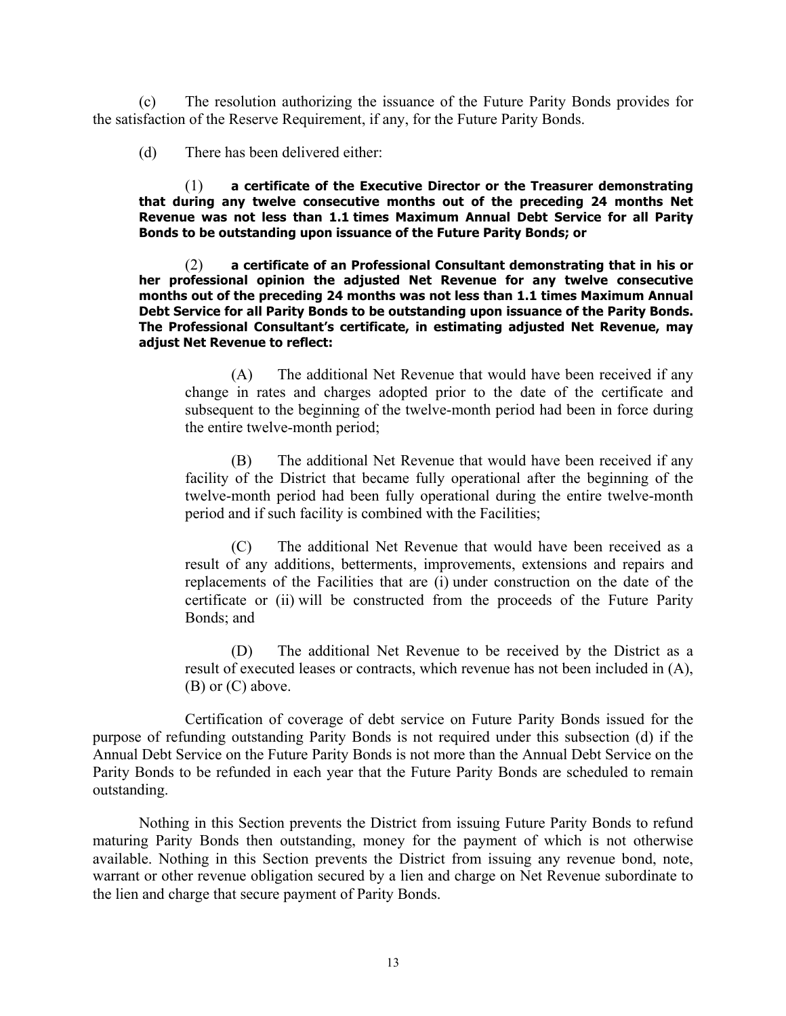(c) The resolution authorizing the issuance of the Future Parity Bonds provides for the satisfaction of the Reserve Requirement, if any, for the Future Parity Bonds.

(d) There has been delivered either:

(1) **a certificate of the Executive Director or the Treasurer demonstrating that during any twelve consecutive months out of the preceding 24 months Net Revenue was not less than 1.1 times Maximum Annual Debt Service for all Parity Bonds to be outstanding upon issuance of the Future Parity Bonds; or**

(2) **a certificate of an Professional Consultant demonstrating that in his or her professional opinion the adjusted Net Revenue for any twelve consecutive months out of the preceding 24 months was not less than 1.1 times Maximum Annual Debt Service for all Parity Bonds to be outstanding upon issuance of the Parity Bonds. The Professional Consultant's certificate, in estimating adjusted Net Revenue, may adjust Net Revenue to reflect:**

(A) The additional Net Revenue that would have been received if any change in rates and charges adopted prior to the date of the certificate and subsequent to the beginning of the twelve-month period had been in force during the entire twelve-month period;

(B) The additional Net Revenue that would have been received if any facility of the District that became fully operational after the beginning of the twelve-month period had been fully operational during the entire twelve-month period and if such facility is combined with the Facilities;

(C) The additional Net Revenue that would have been received as a result of any additions, betterments, improvements, extensions and repairs and replacements of the Facilities that are (i) under construction on the date of the certificate or (ii) will be constructed from the proceeds of the Future Parity Bonds; and

(D) The additional Net Revenue to be received by the District as a result of executed leases or contracts, which revenue has not been included in (A), (B) or (C) above.

Certification of coverage of debt service on Future Parity Bonds issued for the purpose of refunding outstanding Parity Bonds is not required under this subsection (d) if the Annual Debt Service on the Future Parity Bonds is not more than the Annual Debt Service on the Parity Bonds to be refunded in each year that the Future Parity Bonds are scheduled to remain outstanding.

Nothing in this Section prevents the District from issuing Future Parity Bonds to refund maturing Parity Bonds then outstanding, money for the payment of which is not otherwise available. Nothing in this Section prevents the District from issuing any revenue bond, note, warrant or other revenue obligation secured by a lien and charge on Net Revenue subordinate to the lien and charge that secure payment of Parity Bonds.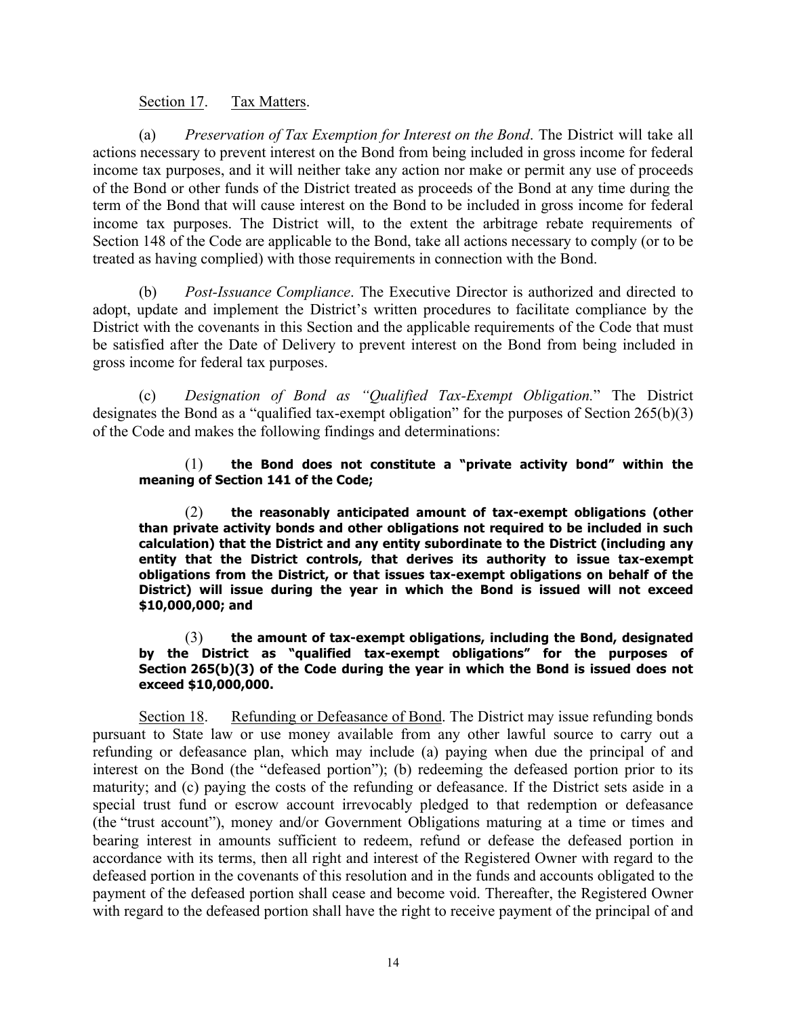## Section 17. Tax Matters.

(a) *Preservation of Tax Exemption for Interest on the Bond*. The District will take all actions necessary to prevent interest on the Bond from being included in gross income for federal income tax purposes, and it will neither take any action nor make or permit any use of proceeds of the Bond or other funds of the District treated as proceeds of the Bond at any time during the term of the Bond that will cause interest on the Bond to be included in gross income for federal income tax purposes. The District will, to the extent the arbitrage rebate requirements of Section 148 of the Code are applicable to the Bond, take all actions necessary to comply (or to be treated as having complied) with those requirements in connection with the Bond.

(b) *Post-Issuance Compliance*. The Executive Director is authorized and directed to adopt, update and implement the District's written procedures to facilitate compliance by the District with the covenants in this Section and the applicable requirements of the Code that must be satisfied after the Date of Delivery to prevent interest on the Bond from being included in gross income for federal tax purposes.

(c) *Designation of Bond as "Qualified Tax-Exempt Obligation.*" The District designates the Bond as a "qualified tax-exempt obligation" for the purposes of Section 265(b)(3) of the Code and makes the following findings and determinations:

#### (1) **the Bond does not constitute a "private activity bond" within the meaning of Section 141 of the Code;**

(2) **the reasonably anticipated amount of tax-exempt obligations (other than private activity bonds and other obligations not required to be included in such calculation) that the District and any entity subordinate to the District (including any entity that the District controls, that derives its authority to issue tax-exempt obligations from the District, or that issues tax-exempt obligations on behalf of the District) will issue during the year in which the Bond is issued will not exceed \$10,000,000; and**

#### (3) **the amount of tax-exempt obligations, including the Bond, designated by the District as "qualified tax-exempt obligations" for the purposes of Section 265(b)(3) of the Code during the year in which the Bond is issued does not exceed \$10,000,000.**

Section 18. Refunding or Defeasance of Bond. The District may issue refunding bonds pursuant to State law or use money available from any other lawful source to carry out a refunding or defeasance plan, which may include (a) paying when due the principal of and interest on the Bond (the "defeased portion"); (b) redeeming the defeased portion prior to its maturity; and (c) paying the costs of the refunding or defeasance. If the District sets aside in a special trust fund or escrow account irrevocably pledged to that redemption or defeasance (the "trust account"), money and/or Government Obligations maturing at a time or times and bearing interest in amounts sufficient to redeem, refund or defease the defeased portion in accordance with its terms, then all right and interest of the Registered Owner with regard to the defeased portion in the covenants of this resolution and in the funds and accounts obligated to the payment of the defeased portion shall cease and become void. Thereafter, the Registered Owner with regard to the defeased portion shall have the right to receive payment of the principal of and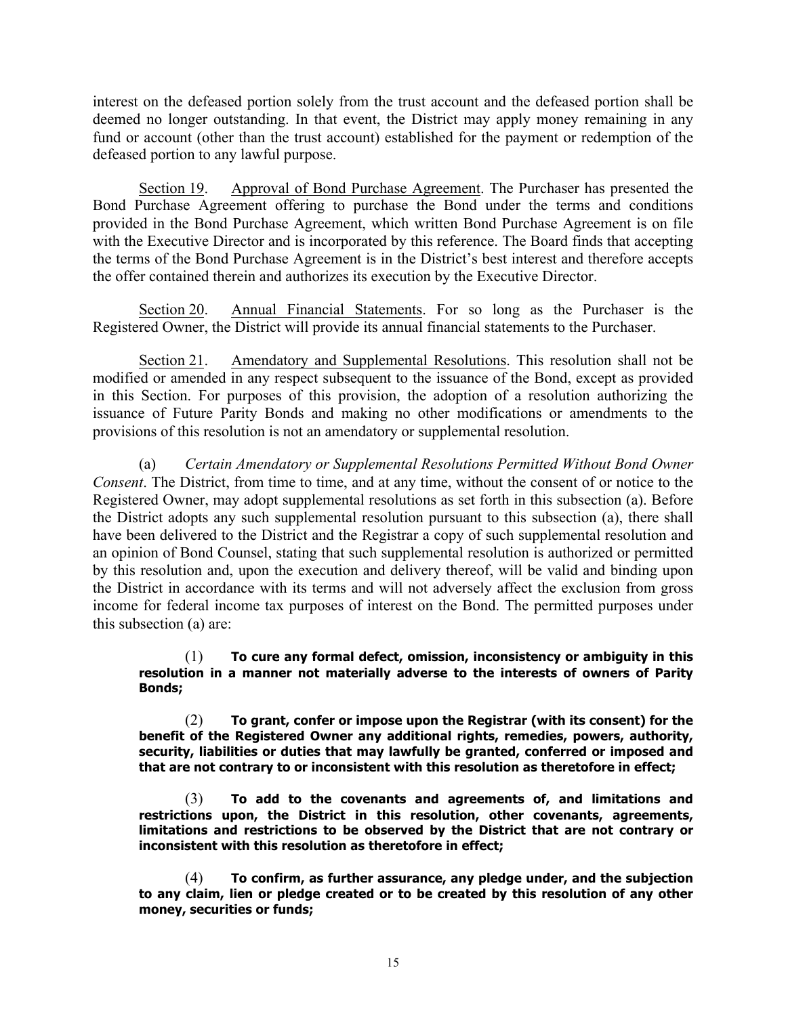interest on the defeased portion solely from the trust account and the defeased portion shall be deemed no longer outstanding. In that event, the District may apply money remaining in any fund or account (other than the trust account) established for the payment or redemption of the defeased portion to any lawful purpose.

Section 19. Approval of Bond Purchase Agreement. The Purchaser has presented the Bond Purchase Agreement offering to purchase the Bond under the terms and conditions provided in the Bond Purchase Agreement, which written Bond Purchase Agreement is on file with the Executive Director and is incorporated by this reference. The Board finds that accepting the terms of the Bond Purchase Agreement is in the District's best interest and therefore accepts the offer contained therein and authorizes its execution by the Executive Director.

Section 20. Annual Financial Statements. For so long as the Purchaser is the Registered Owner, the District will provide its annual financial statements to the Purchaser.

Section 21. Amendatory and Supplemental Resolutions. This resolution shall not be modified or amended in any respect subsequent to the issuance of the Bond, except as provided in this Section. For purposes of this provision, the adoption of a resolution authorizing the issuance of Future Parity Bonds and making no other modifications or amendments to the provisions of this resolution is not an amendatory or supplemental resolution.

(a) *Certain Amendatory or Supplemental Resolutions Permitted Without Bond Owner Consent*. The District, from time to time, and at any time, without the consent of or notice to the Registered Owner, may adopt supplemental resolutions as set forth in this subsection (a). Before the District adopts any such supplemental resolution pursuant to this subsection (a), there shall have been delivered to the District and the Registrar a copy of such supplemental resolution and an opinion of Bond Counsel, stating that such supplemental resolution is authorized or permitted by this resolution and, upon the execution and delivery thereof, will be valid and binding upon the District in accordance with its terms and will not adversely affect the exclusion from gross income for federal income tax purposes of interest on the Bond. The permitted purposes under this subsection (a) are:

#### (1) **To cure any formal defect, omission, inconsistency or ambiguity in this resolution in a manner not materially adverse to the interests of owners of Parity Bonds;**

(2) **To grant, confer or impose upon the Registrar (with its consent) for the benefit of the Registered Owner any additional rights, remedies, powers, authority, security, liabilities or duties that may lawfully be granted, conferred or imposed and that are not contrary to or inconsistent with this resolution as theretofore in effect;**

(3) **To add to the covenants and agreements of, and limitations and restrictions upon, the District in this resolution, other covenants, agreements, limitations and restrictions to be observed by the District that are not contrary or inconsistent with this resolution as theretofore in effect;**

(4) **To confirm, as further assurance, any pledge under, and the subjection to any claim, lien or pledge created or to be created by this resolution of any other money, securities or funds;**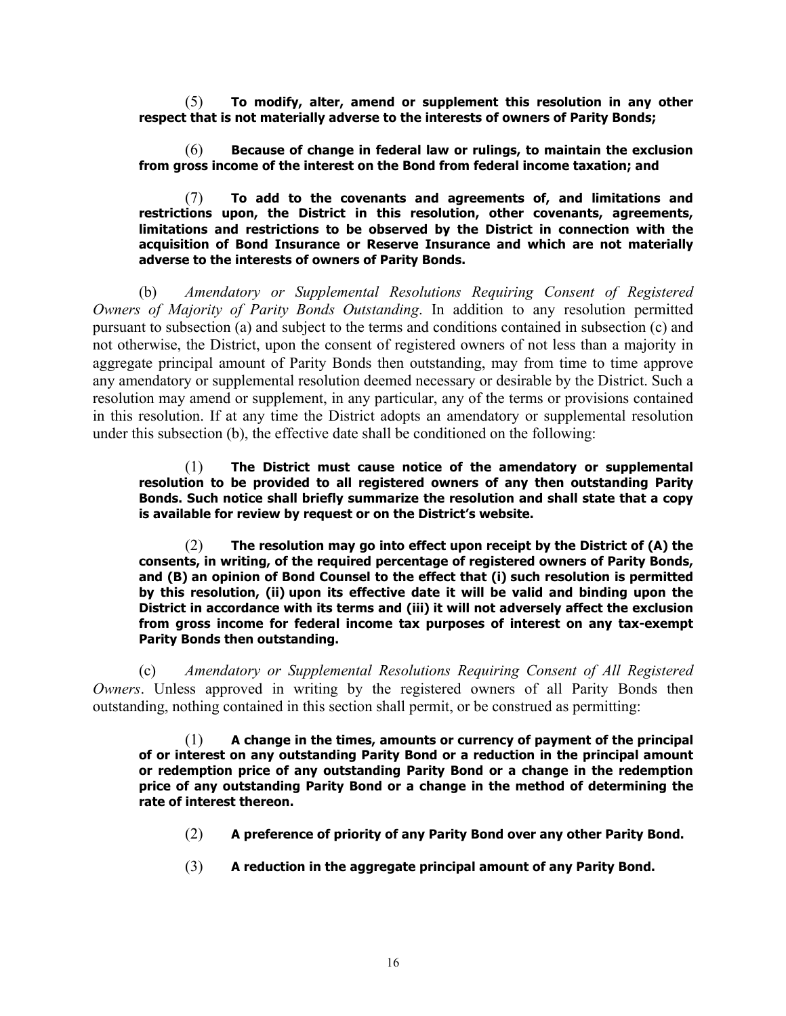(5) **To modify, alter, amend or supplement this resolution in any other respect that is not materially adverse to the interests of owners of Parity Bonds;**

(6) **Because of change in federal law or rulings, to maintain the exclusion from gross income of the interest on the Bond from federal income taxation; and**

(7) **To add to the covenants and agreements of, and limitations and restrictions upon, the District in this resolution, other covenants, agreements, limitations and restrictions to be observed by the District in connection with the acquisition of Bond Insurance or Reserve Insurance and which are not materially adverse to the interests of owners of Parity Bonds.**

(b) *Amendatory or Supplemental Resolutions Requiring Consent of Registered Owners of Majority of Parity Bonds Outstanding*. In addition to any resolution permitted pursuant to subsection (a) and subject to the terms and conditions contained in subsection (c) and not otherwise, the District, upon the consent of registered owners of not less than a majority in aggregate principal amount of Parity Bonds then outstanding, may from time to time approve any amendatory or supplemental resolution deemed necessary or desirable by the District. Such a resolution may amend or supplement, in any particular, any of the terms or provisions contained in this resolution. If at any time the District adopts an amendatory or supplemental resolution under this subsection (b), the effective date shall be conditioned on the following:

(1) **The District must cause notice of the amendatory or supplemental resolution to be provided to all registered owners of any then outstanding Parity Bonds. Such notice shall briefly summarize the resolution and shall state that a copy is available for review by request or on the District's website.**

(2) **The resolution may go into effect upon receipt by the District of (A) the consents, in writing, of the required percentage of registered owners of Parity Bonds, and (B) an opinion of Bond Counsel to the effect that (i) such resolution is permitted by this resolution, (ii) upon its effective date it will be valid and binding upon the District in accordance with its terms and (iii) it will not adversely affect the exclusion from gross income for federal income tax purposes of interest on any tax-exempt Parity Bonds then outstanding.**

(c) *Amendatory or Supplemental Resolutions Requiring Consent of All Registered Owners*. Unless approved in writing by the registered owners of all Parity Bonds then outstanding, nothing contained in this section shall permit, or be construed as permitting:

(1) **A change in the times, amounts or currency of payment of the principal of or interest on any outstanding Parity Bond or a reduction in the principal amount or redemption price of any outstanding Parity Bond or a change in the redemption price of any outstanding Parity Bond or a change in the method of determining the rate of interest thereon.**

- (2) **A preference of priority of any Parity Bond over any other Parity Bond.**
- (3) **A reduction in the aggregate principal amount of any Parity Bond.**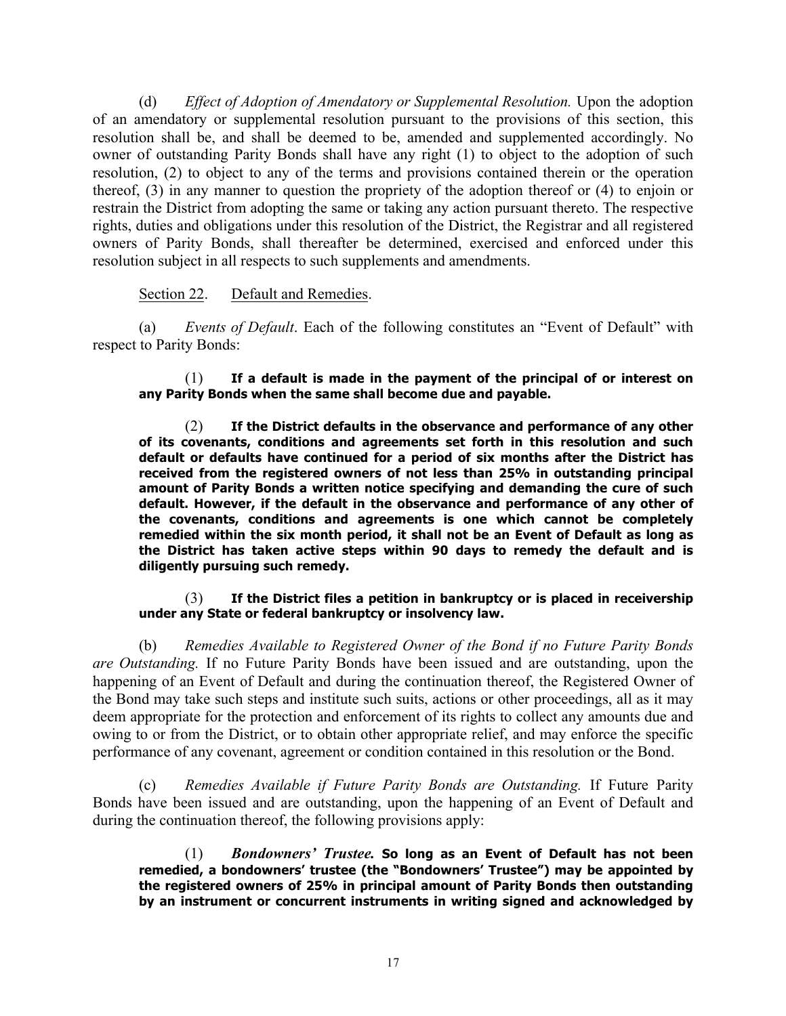(d) *Effect of Adoption of Amendatory or Supplemental Resolution.* Upon the adoption of an amendatory or supplemental resolution pursuant to the provisions of this section, this resolution shall be, and shall be deemed to be, amended and supplemented accordingly. No owner of outstanding Parity Bonds shall have any right (1) to object to the adoption of such resolution, (2) to object to any of the terms and provisions contained therein or the operation thereof, (3) in any manner to question the propriety of the adoption thereof or (4) to enjoin or restrain the District from adopting the same or taking any action pursuant thereto. The respective rights, duties and obligations under this resolution of the District, the Registrar and all registered owners of Parity Bonds, shall thereafter be determined, exercised and enforced under this resolution subject in all respects to such supplements and amendments.

## Section 22. Default and Remedies.

(a) *Events of Default*. Each of the following constitutes an "Event of Default" with respect to Parity Bonds:

(1) **If a default is made in the payment of the principal of or interest on any Parity Bonds when the same shall become due and payable.**

(2) **If the District defaults in the observance and performance of any other of its covenants, conditions and agreements set forth in this resolution and such default or defaults have continued for a period of six months after the District has received from the registered owners of not less than 25% in outstanding principal amount of Parity Bonds a written notice specifying and demanding the cure of such default. However, if the default in the observance and performance of any other of the covenants, conditions and agreements is one which cannot be completely remedied within the six month period, it shall not be an Event of Default as long as the District has taken active steps within 90 days to remedy the default and is diligently pursuing such remedy.**

#### (3) **If the District files a petition in bankruptcy or is placed in receivership under any State or federal bankruptcy or insolvency law.**

(b) *Remedies Available to Registered Owner of the Bond if no Future Parity Bonds are Outstanding.* If no Future Parity Bonds have been issued and are outstanding, upon the happening of an Event of Default and during the continuation thereof, the Registered Owner of the Bond may take such steps and institute such suits, actions or other proceedings, all as it may deem appropriate for the protection and enforcement of its rights to collect any amounts due and owing to or from the District, or to obtain other appropriate relief, and may enforce the specific performance of any covenant, agreement or condition contained in this resolution or the Bond.

(c) *Remedies Available if Future Parity Bonds are Outstanding.* If Future Parity Bonds have been issued and are outstanding, upon the happening of an Event of Default and during the continuation thereof, the following provisions apply:

(1) *Bondowners' Trustee.* **So long as an Event of Default has not been remedied, a bondowners' trustee (the "Bondowners' Trustee") may be appointed by the registered owners of 25% in principal amount of Parity Bonds then outstanding by an instrument or concurrent instruments in writing signed and acknowledged by**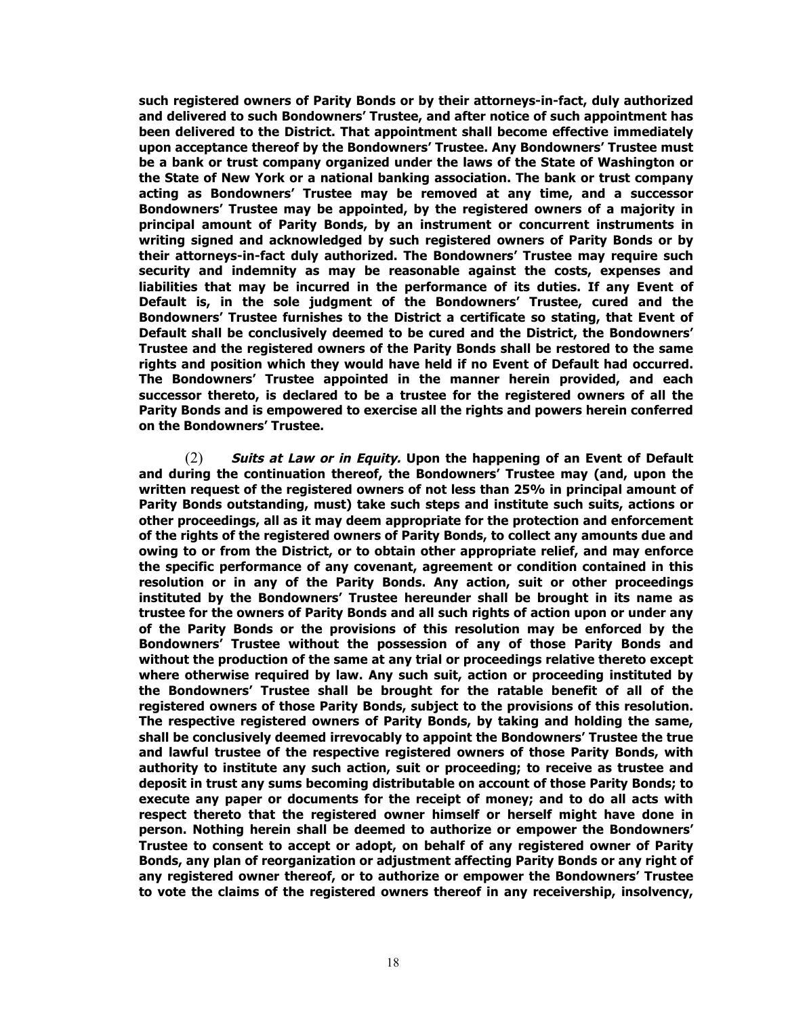**such registered owners of Parity Bonds or by their attorneys-in-fact, duly authorized and delivered to such Bondowners' Trustee, and after notice of such appointment has been delivered to the District. That appointment shall become effective immediately upon acceptance thereof by the Bondowners' Trustee. Any Bondowners' Trustee must be a bank or trust company organized under the laws of the State of Washington or the State of New York or a national banking association. The bank or trust company acting as Bondowners' Trustee may be removed at any time, and a successor Bondowners' Trustee may be appointed, by the registered owners of a majority in principal amount of Parity Bonds, by an instrument or concurrent instruments in writing signed and acknowledged by such registered owners of Parity Bonds or by their attorneys-in-fact duly authorized. The Bondowners' Trustee may require such security and indemnity as may be reasonable against the costs, expenses and liabilities that may be incurred in the performance of its duties. If any Event of Default is, in the sole judgment of the Bondowners' Trustee, cured and the Bondowners' Trustee furnishes to the District a certificate so stating, that Event of Default shall be conclusively deemed to be cured and the District, the Bondowners' Trustee and the registered owners of the Parity Bonds shall be restored to the same rights and position which they would have held if no Event of Default had occurred. The Bondowners' Trustee appointed in the manner herein provided, and each successor thereto, is declared to be a trustee for the registered owners of all the Parity Bonds and is empowered to exercise all the rights and powers herein conferred on the Bondowners' Trustee.**

(2) **Suits at Law or in Equity. Upon the happening of an Event of Default and during the continuation thereof, the Bondowners' Trustee may (and, upon the written request of the registered owners of not less than 25% in principal amount of Parity Bonds outstanding, must) take such steps and institute such suits, actions or other proceedings, all as it may deem appropriate for the protection and enforcement of the rights of the registered owners of Parity Bonds, to collect any amounts due and owing to or from the District, or to obtain other appropriate relief, and may enforce the specific performance of any covenant, agreement or condition contained in this resolution or in any of the Parity Bonds. Any action, suit or other proceedings instituted by the Bondowners' Trustee hereunder shall be brought in its name as trustee for the owners of Parity Bonds and all such rights of action upon or under any of the Parity Bonds or the provisions of this resolution may be enforced by the Bondowners' Trustee without the possession of any of those Parity Bonds and without the production of the same at any trial or proceedings relative thereto except where otherwise required by law. Any such suit, action or proceeding instituted by the Bondowners' Trustee shall be brought for the ratable benefit of all of the registered owners of those Parity Bonds, subject to the provisions of this resolution. The respective registered owners of Parity Bonds, by taking and holding the same, shall be conclusively deemed irrevocably to appoint the Bondowners' Trustee the true and lawful trustee of the respective registered owners of those Parity Bonds, with authority to institute any such action, suit or proceeding; to receive as trustee and deposit in trust any sums becoming distributable on account of those Parity Bonds; to execute any paper or documents for the receipt of money; and to do all acts with respect thereto that the registered owner himself or herself might have done in person. Nothing herein shall be deemed to authorize or empower the Bondowners' Trustee to consent to accept or adopt, on behalf of any registered owner of Parity Bonds, any plan of reorganization or adjustment affecting Parity Bonds or any right of any registered owner thereof, or to authorize or empower the Bondowners' Trustee to vote the claims of the registered owners thereof in any receivership, insolvency,**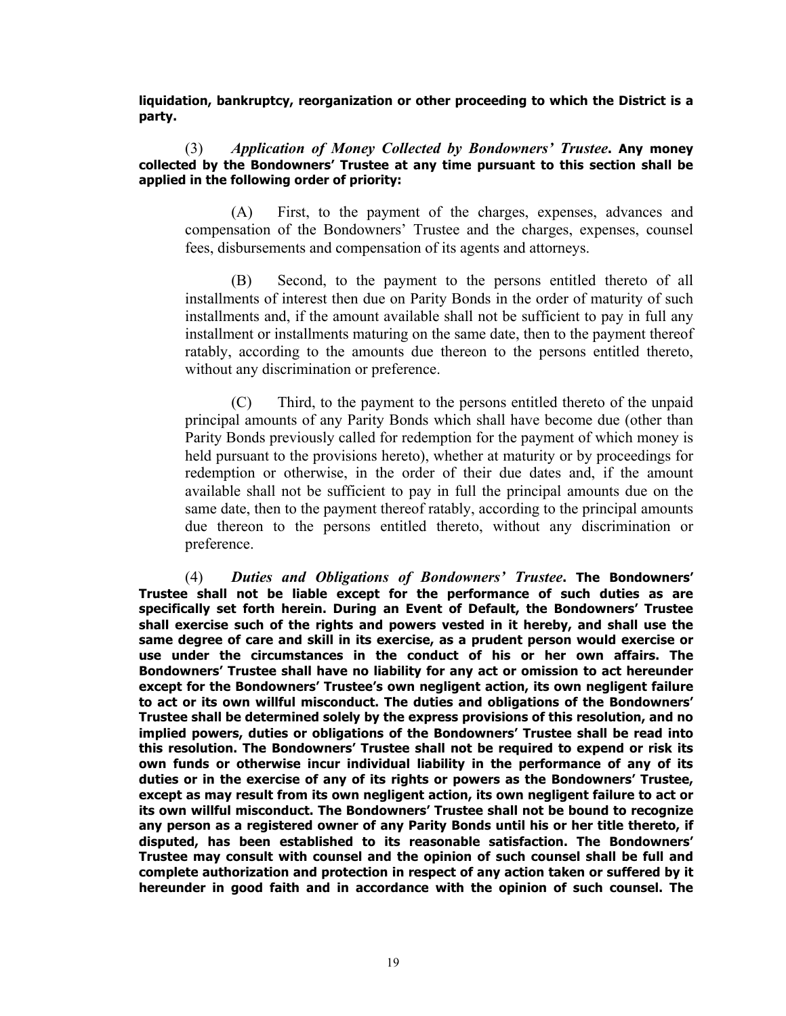**liquidation, bankruptcy, reorganization or other proceeding to which the District is a party.**

(3) *Application of Money Collected by Bondowners' Trustee***. Any money collected by the Bondowners' Trustee at any time pursuant to this section shall be applied in the following order of priority:**

(A) First, to the payment of the charges, expenses, advances and compensation of the Bondowners' Trustee and the charges, expenses, counsel fees, disbursements and compensation of its agents and attorneys.

(B) Second, to the payment to the persons entitled thereto of all installments of interest then due on Parity Bonds in the order of maturity of such installments and, if the amount available shall not be sufficient to pay in full any installment or installments maturing on the same date, then to the payment thereof ratably, according to the amounts due thereon to the persons entitled thereto, without any discrimination or preference.

(C) Third, to the payment to the persons entitled thereto of the unpaid principal amounts of any Parity Bonds which shall have become due (other than Parity Bonds previously called for redemption for the payment of which money is held pursuant to the provisions hereto), whether at maturity or by proceedings for redemption or otherwise, in the order of their due dates and, if the amount available shall not be sufficient to pay in full the principal amounts due on the same date, then to the payment thereof ratably, according to the principal amounts due thereon to the persons entitled thereto, without any discrimination or preference.

(4) *Duties and Obligations of Bondowners' Trustee***. The Bondowners' Trustee shall not be liable except for the performance of such duties as are specifically set forth herein. During an Event of Default, the Bondowners' Trustee shall exercise such of the rights and powers vested in it hereby, and shall use the same degree of care and skill in its exercise, as a prudent person would exercise or use under the circumstances in the conduct of his or her own affairs. The Bondowners' Trustee shall have no liability for any act or omission to act hereunder except for the Bondowners' Trustee's own negligent action, its own negligent failure to act or its own willful misconduct. The duties and obligations of the Bondowners' Trustee shall be determined solely by the express provisions of this resolution, and no implied powers, duties or obligations of the Bondowners' Trustee shall be read into this resolution. The Bondowners' Trustee shall not be required to expend or risk its own funds or otherwise incur individual liability in the performance of any of its duties or in the exercise of any of its rights or powers as the Bondowners' Trustee, except as may result from its own negligent action, its own negligent failure to act or its own willful misconduct. The Bondowners' Trustee shall not be bound to recognize any person as a registered owner of any Parity Bonds until his or her title thereto, if disputed, has been established to its reasonable satisfaction. The Bondowners' Trustee may consult with counsel and the opinion of such counsel shall be full and complete authorization and protection in respect of any action taken or suffered by it hereunder in good faith and in accordance with the opinion of such counsel. The**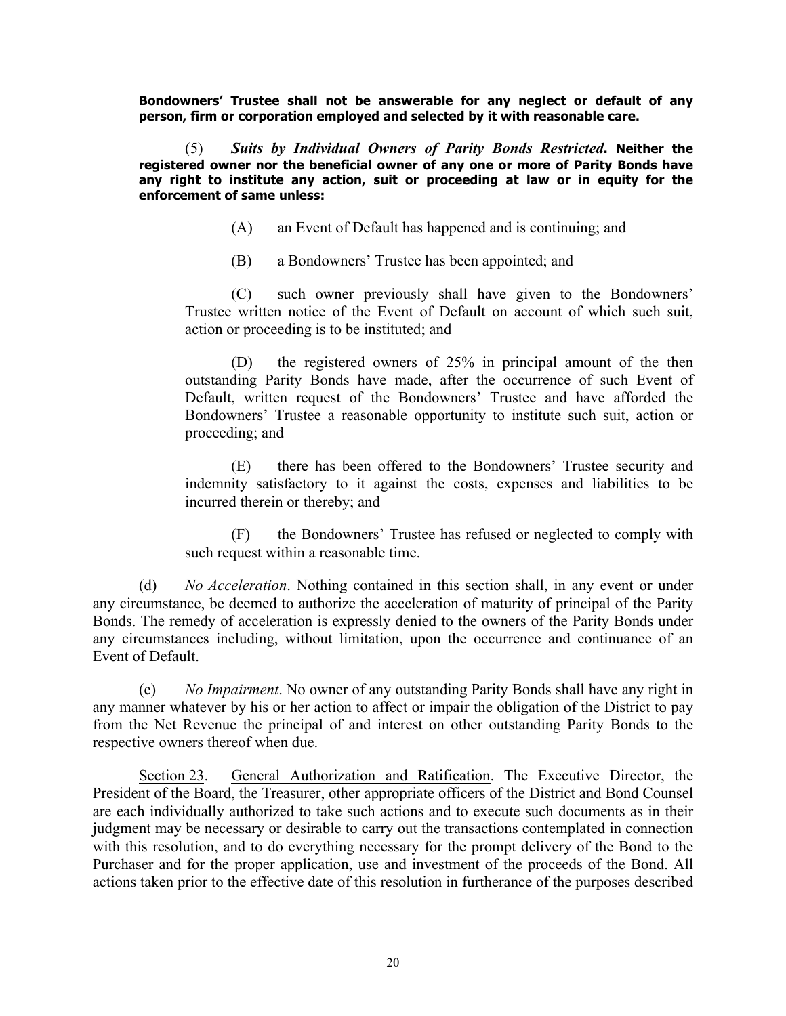**Bondowners' Trustee shall not be answerable for any neglect or default of any person, firm or corporation employed and selected by it with reasonable care.**

(5) *Suits by Individual Owners of Parity Bonds Restricted***. Neither the registered owner nor the beneficial owner of any one or more of Parity Bonds have any right to institute any action, suit or proceeding at law or in equity for the enforcement of same unless:**

- (A) an Event of Default has happened and is continuing; and
- (B) a Bondowners' Trustee has been appointed; and

(C) such owner previously shall have given to the Bondowners' Trustee written notice of the Event of Default on account of which such suit, action or proceeding is to be instituted; and

(D) the registered owners of 25% in principal amount of the then outstanding Parity Bonds have made, after the occurrence of such Event of Default, written request of the Bondowners' Trustee and have afforded the Bondowners' Trustee a reasonable opportunity to institute such suit, action or proceeding; and

(E) there has been offered to the Bondowners' Trustee security and indemnity satisfactory to it against the costs, expenses and liabilities to be incurred therein or thereby; and

(F) the Bondowners' Trustee has refused or neglected to comply with such request within a reasonable time.

(d) *No Acceleration*. Nothing contained in this section shall, in any event or under any circumstance, be deemed to authorize the acceleration of maturity of principal of the Parity Bonds. The remedy of acceleration is expressly denied to the owners of the Parity Bonds under any circumstances including, without limitation, upon the occurrence and continuance of an Event of Default.

(e) *No Impairment*. No owner of any outstanding Parity Bonds shall have any right in any manner whatever by his or her action to affect or impair the obligation of the District to pay from the Net Revenue the principal of and interest on other outstanding Parity Bonds to the respective owners thereof when due.

Section 23. General Authorization and Ratification. The Executive Director, the President of the Board, the Treasurer, other appropriate officers of the District and Bond Counsel are each individually authorized to take such actions and to execute such documents as in their judgment may be necessary or desirable to carry out the transactions contemplated in connection with this resolution, and to do everything necessary for the prompt delivery of the Bond to the Purchaser and for the proper application, use and investment of the proceeds of the Bond. All actions taken prior to the effective date of this resolution in furtherance of the purposes described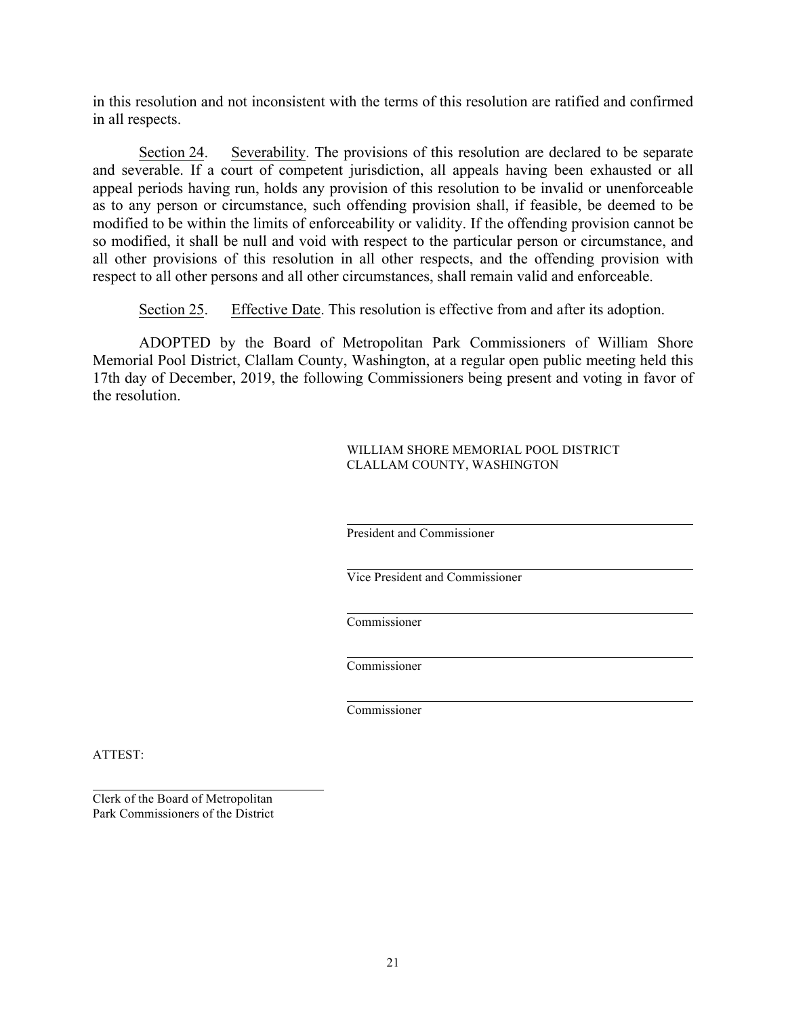in this resolution and not inconsistent with the terms of this resolution are ratified and confirmed in all respects.

Section 24. Severability. The provisions of this resolution are declared to be separate and severable. If a court of competent jurisdiction, all appeals having been exhausted or all appeal periods having run, holds any provision of this resolution to be invalid or unenforceable as to any person or circumstance, such offending provision shall, if feasible, be deemed to be modified to be within the limits of enforceability or validity. If the offending provision cannot be so modified, it shall be null and void with respect to the particular person or circumstance, and all other provisions of this resolution in all other respects, and the offending provision with respect to all other persons and all other circumstances, shall remain valid and enforceable.

Section 25. Effective Date. This resolution is effective from and after its adoption.

ADOPTED by the Board of Metropolitan Park Commissioners of William Shore Memorial Pool District, Clallam County, Washington, at a regular open public meeting held this 17th day of December, 2019, the following Commissioners being present and voting in favor of the resolution.

> WILLIAM SHORE MEMORIAL POOL DISTRICT CLALLAM COUNTY, WASHINGTON

President and Commissioner

Vice President and Commissioner

Commissioner

Commissioner

Commissioner

ATTEST:

Clerk of the Board of Metropolitan Park Commissioners of the District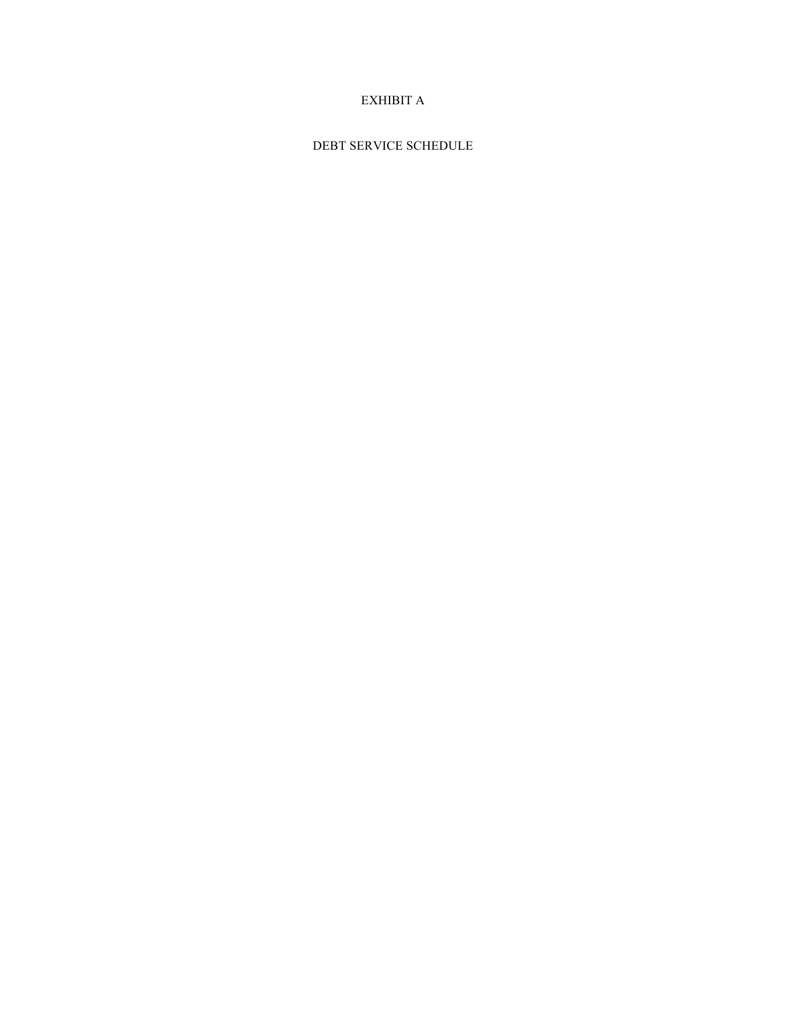## EXHIBIT A

DEBT SERVICE SCHEDULE